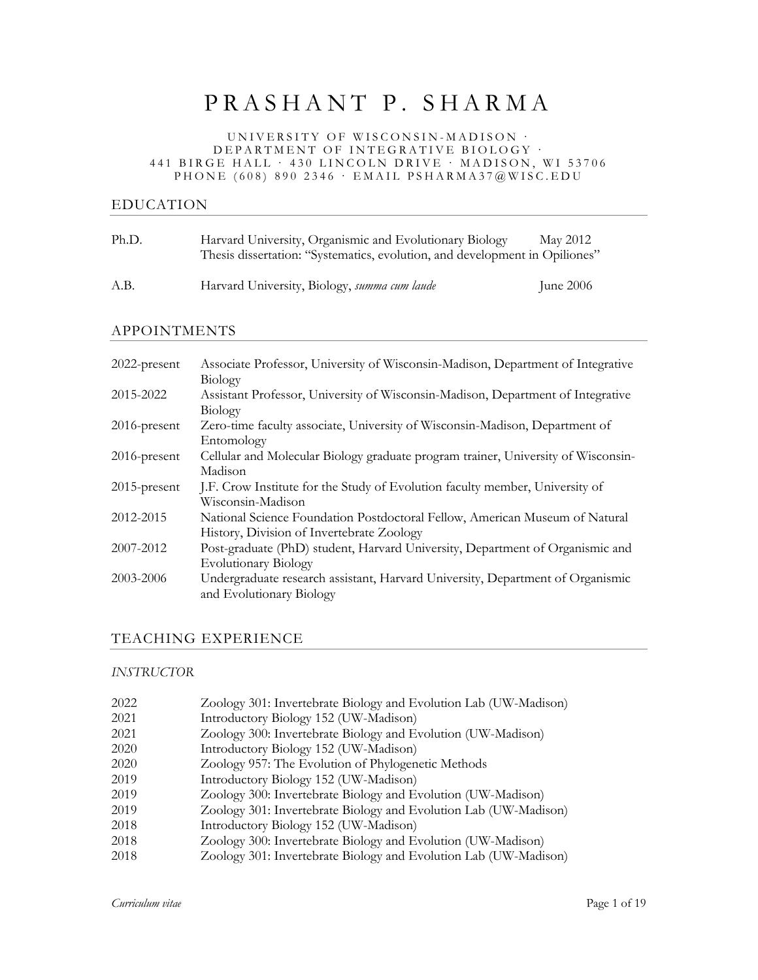# PRASHANT P. SHARMA

#### UNIVERSITY OF WISCONSIN - MADISON · DEPARTMENT OF INTEGRATIVE BIOLOGY · 441 BIRGE HALL · 430 LINCOLN DRIVE · MADISON, WI 53706 PHONE (608) 890 2346 · EMAIL PSHARMA37@WISC.EDU

# EDUCATION

| Ph.D. | Harvard University, Organismic and Evolutionary Biology<br>Thesis dissertation: "Systematics, evolution, and development in Opiliones" | May 2012    |
|-------|----------------------------------------------------------------------------------------------------------------------------------------|-------------|
| A.B.  | Harvard University, Biology, summa cum laude                                                                                           | June $2006$ |

## APPOINTMENTS

| 2022-present    | Associate Professor, University of Wisconsin-Madison, Department of Integrative   |
|-----------------|-----------------------------------------------------------------------------------|
|                 | Biology                                                                           |
| 2015-2022       | Assistant Professor, University of Wisconsin-Madison, Department of Integrative   |
|                 | Biology                                                                           |
| $2016$ -present | Zero-time faculty associate, University of Wisconsin-Madison, Department of       |
|                 | Entomology                                                                        |
| $2016$ -present | Cellular and Molecular Biology graduate program trainer, University of Wisconsin- |
|                 | Madison                                                                           |
| $2015$ -present | J.F. Crow Institute for the Study of Evolution faculty member, University of      |
|                 | Wisconsin-Madison                                                                 |
| 2012-2015       | National Science Foundation Postdoctoral Fellow, American Museum of Natural       |
|                 | History, Division of Invertebrate Zoology                                         |
| 2007-2012       | Post-graduate (PhD) student, Harvard University, Department of Organismic and     |
|                 | <b>Evolutionary Biology</b>                                                       |
| 2003-2006       | Undergraduate research assistant, Harvard University, Department of Organismic    |
|                 | and Evolutionary Biology                                                          |

#### TEACHING EXPERIENCE

#### *INSTRUCTOR*

| 2022 | Zoology 301: Invertebrate Biology and Evolution Lab (UW-Madison) |
|------|------------------------------------------------------------------|
| 2021 | Introductory Biology 152 (UW-Madison)                            |
| 2021 | Zoology 300: Invertebrate Biology and Evolution (UW-Madison)     |
| 2020 | Introductory Biology 152 (UW-Madison)                            |
| 2020 | Zoology 957: The Evolution of Phylogenetic Methods               |
| 2019 | Introductory Biology 152 (UW-Madison)                            |
| 2019 | Zoology 300: Invertebrate Biology and Evolution (UW-Madison)     |
| 2019 | Zoology 301: Invertebrate Biology and Evolution Lab (UW-Madison) |
| 2018 | Introductory Biology 152 (UW-Madison)                            |
| 2018 | Zoology 300: Invertebrate Biology and Evolution (UW-Madison)     |
| 2018 | Zoology 301: Invertebrate Biology and Evolution Lab (UW-Madison) |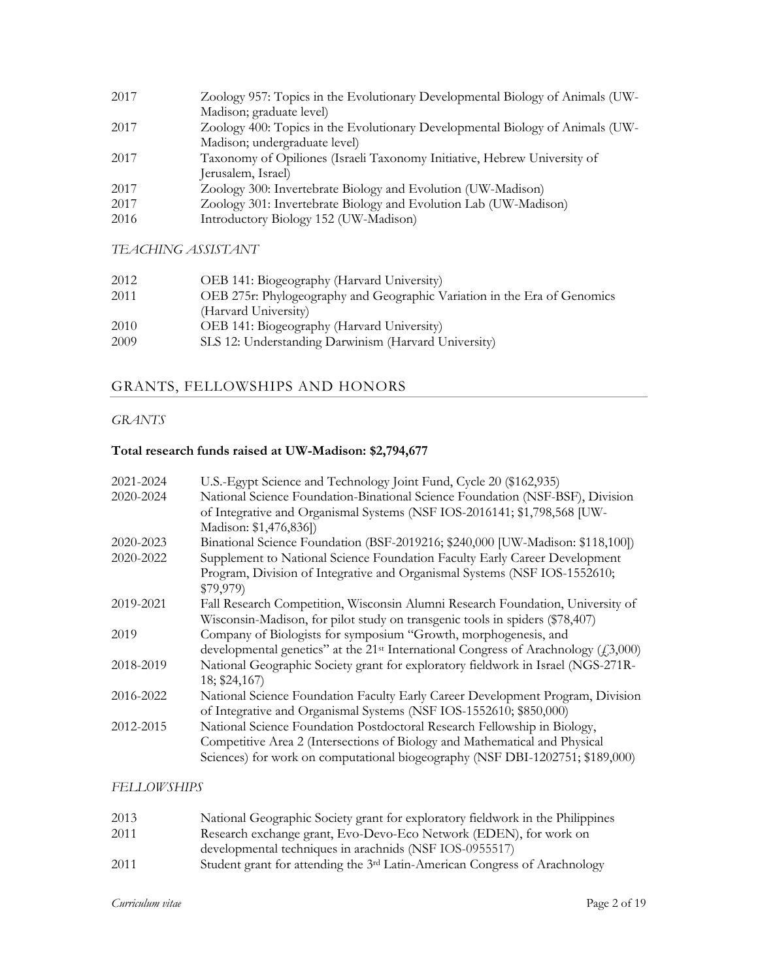| 2017 | Zoology 957: Topics in the Evolutionary Developmental Biology of Animals (UW- |
|------|-------------------------------------------------------------------------------|
|      | Madison; graduate level)                                                      |
| 2017 | Zoology 400: Topics in the Evolutionary Developmental Biology of Animals (UW- |
|      | Madison; undergraduate level)                                                 |
| 2017 | Taxonomy of Opiliones (Israeli Taxonomy Initiative, Hebrew University of      |
|      | Jerusalem, Israel)                                                            |
| 2017 | Zoology 300: Invertebrate Biology and Evolution (UW-Madison)                  |
| 2017 | Zoology 301: Invertebrate Biology and Evolution Lab (UW-Madison)              |
| 2016 | Introductory Biology 152 (UW-Madison)                                         |
|      |                                                                               |

*TEACHING ASSISTANT*

| 2012 | OEB 141: Biogeography (Harvard University)                               |
|------|--------------------------------------------------------------------------|
| 2011 | OEB 275r: Phylogeography and Geographic Variation in the Era of Genomics |
|      | (Harvard University)                                                     |
| 2010 | OEB 141: Biogeography (Harvard University)                               |
| 2009 | SLS 12: Understanding Darwinism (Harvard University)                     |

# GRANTS, FELLOWSHIPS AND HONORS

# *GRANTS*

# **Total research funds raised at UW-Madison: \$2,794,677**

| 2021-2024 | U.S.-Egypt Science and Technology Joint Fund, Cycle 20 (\$162,935)                             |
|-----------|------------------------------------------------------------------------------------------------|
| 2020-2024 | National Science Foundation-Binational Science Foundation (NSF-BSF), Division                  |
|           | of Integrative and Organismal Systems (NSF IOS-2016141; \$1,798,568 [UW-                       |
|           | Madison: \$1,476,836])                                                                         |
| 2020-2023 | Binational Science Foundation (BSF-2019216; \$240,000 [UW-Madison: \$118,100])                 |
| 2020-2022 | Supplement to National Science Foundation Faculty Early Career Development                     |
|           | Program, Division of Integrative and Organismal Systems (NSF IOS-1552610;                      |
|           | \$79,979                                                                                       |
| 2019-2021 | Fall Research Competition, Wisconsin Alumni Research Foundation, University of                 |
|           | Wisconsin-Madison, for pilot study on transgenic tools in spiders (\$78,407)                   |
| 2019      | Company of Biologists for symposium "Growth, morphogenesis, and                                |
|           | developmental genetics" at the 21 <sup>st</sup> International Congress of Arachnology (£3,000) |
| 2018-2019 | National Geographic Society grant for exploratory fieldwork in Israel (NGS-271R-               |
|           | 18; \$24,167)                                                                                  |
| 2016-2022 | National Science Foundation Faculty Early Career Development Program, Division                 |
|           | of Integrative and Organismal Systems (NSF IOS-1552610; \$850,000)                             |
| 2012-2015 | National Science Foundation Postdoctoral Research Fellowship in Biology,                       |
|           | Competitive Area 2 (Intersections of Biology and Mathematical and Physical                     |
|           | Sciences) for work on computational biogeography (NSF DBI-1202751; \$189,000)                  |
|           |                                                                                                |

## *FELLOWSHIPS*

| 2013 | National Geographic Society grant for exploratory fieldwork in the Philippines         |
|------|----------------------------------------------------------------------------------------|
| 2011 | Research exchange grant, Evo-Devo-Eco Network (EDEN), for work on                      |
|      | developmental techniques in arachnids (NSF IOS-0955517)                                |
| 2011 | Student grant for attending the 3 <sup>rd</sup> Latin-American Congress of Arachnology |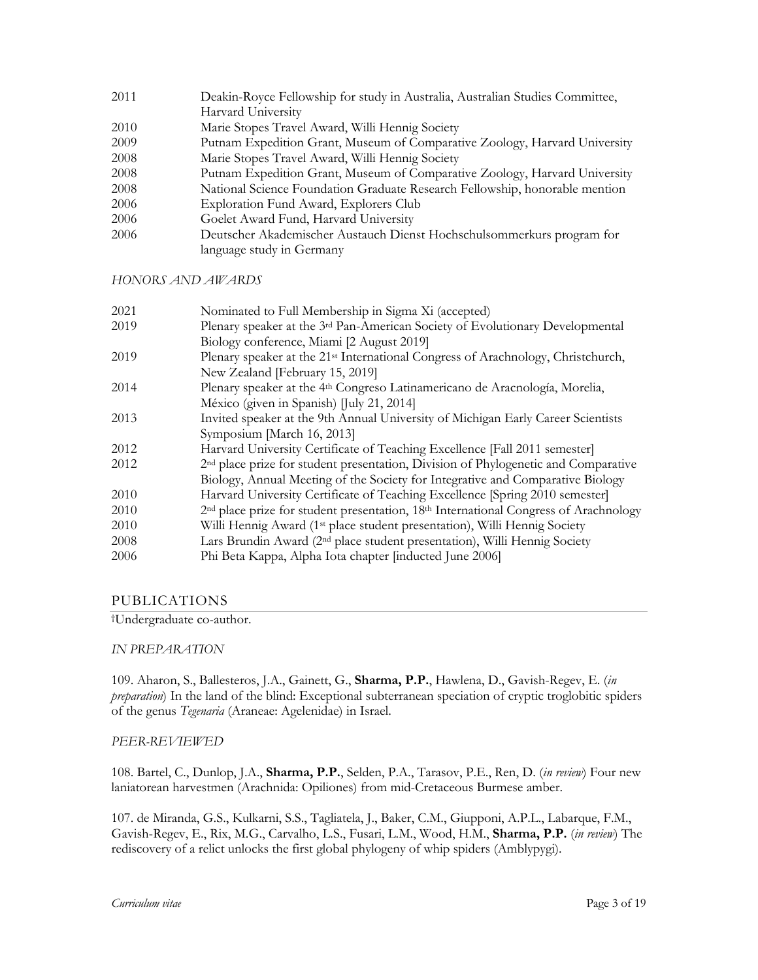Deakin-Royce Fellowship for study in Australia, Australian Studies Committee, Harvard University Marie Stopes Travel Award, Willi Hennig Society Putnam Expedition Grant, Museum of Comparative Zoology, Harvard University Marie Stopes Travel Award, Willi Hennig Society Putnam Expedition Grant, Museum of Comparative Zoology, Harvard University National Science Foundation Graduate Research Fellowship, honorable mention Exploration Fund Award, Explorers Club Goelet Award Fund, Harvard University Deutscher Akademischer Austauch Dienst Hochschulsommerkurs program for language study in Germany

*HONORS AND AWARDS*

| 2021 | Nominated to Full Membership in Sigma Xi (accepted)                                                          |
|------|--------------------------------------------------------------------------------------------------------------|
| 2019 | Plenary speaker at the 3rd Pan-American Society of Evolutionary Developmental                                |
|      | Biology conference, Miami [2 August 2019]                                                                    |
| 2019 | Plenary speaker at the 21 <sup>st</sup> International Congress of Arachnology, Christchurch,                 |
|      | New Zealand [February 15, 2019]                                                                              |
| 2014 | Plenary speaker at the 4 <sup>th</sup> Congreso Latinamericano de Aracnología, Morelia,                      |
|      | México (given in Spanish) [July 21, 2014]                                                                    |
| 2013 | Invited speaker at the 9th Annual University of Michigan Early Career Scientists                             |
|      | Symposium [March 16, 2013]                                                                                   |
| 2012 | Harvard University Certificate of Teaching Excellence [Fall 2011 semester]                                   |
| 2012 | 2 <sup>nd</sup> place prize for student presentation, Division of Phylogenetic and Comparative               |
|      | Biology, Annual Meeting of the Society for Integrative and Comparative Biology                               |
| 2010 | Harvard University Certificate of Teaching Excellence [Spring 2010 semester]                                 |
| 2010 | 2 <sup>nd</sup> place prize for student presentation, 18 <sup>th</sup> International Congress of Arachnology |
| 2010 | Willi Hennig Award (1 <sup>st</sup> place student presentation), Willi Hennig Society                        |
| 2008 | Lars Brundin Award (2 <sup>nd</sup> place student presentation), Willi Hennig Society                        |
| 2006 | Phi Beta Kappa, Alpha Iota chapter [inducted June 2006]                                                      |

#### PUBLICATIONS

†Undergraduate co-author.

#### *IN PREPARATION*

109. Aharon, S., Ballesteros, J.A., Gainett, G., **Sharma, P.P.**, Hawlena, D., Gavish-Regev, E. (*in preparation*) In the land of the blind: Exceptional subterranean speciation of cryptic troglobitic spiders of the genus *Tegenaria* (Araneae: Agelenidae) in Israel.

#### *PEER-REVIEWED*

108. Bartel, C., Dunlop, J.A., **Sharma, P.P.**, Selden, P.A., Tarasov, P.E., Ren, D. (*in review*) Four new laniatorean harvestmen (Arachnida: Opiliones) from mid-Cretaceous Burmese amber.

107. de Miranda, G.S., Kulkarni, S.S., Tagliatela, J., Baker, C.M., Giupponi, A.P.L., Labarque, F.M., Gavish-Regev, E., Rix, M.G., Carvalho, L.S., Fusari, L.M., Wood, H.M., **Sharma, P.P.** (*in review*) The rediscovery of a relict unlocks the first global phylogeny of whip spiders (Amblypygi).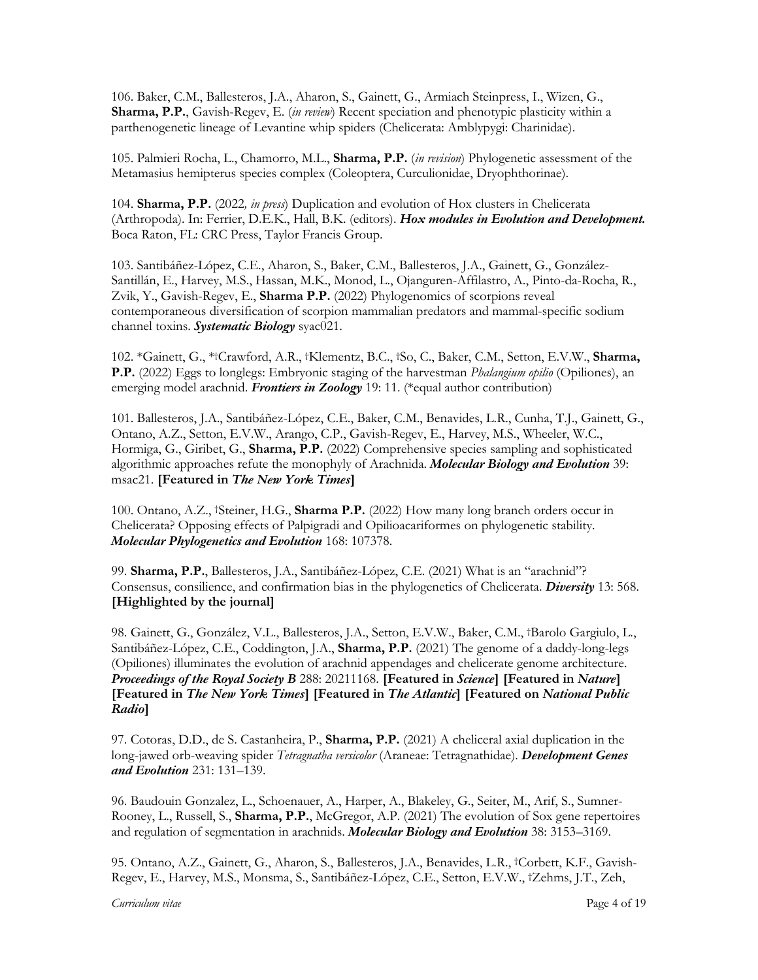106. Baker, C.M., Ballesteros, J.A., Aharon, S., Gainett, G., Armiach Steinpress, I., Wizen, G., **Sharma, P.P.**, Gavish-Regev, E. (*in review*) Recent speciation and phenotypic plasticity within a parthenogenetic lineage of Levantine whip spiders (Chelicerata: Amblypygi: Charinidae).

105. Palmieri Rocha, L., Chamorro, M.L., **Sharma, P.P.** (*in revision*) Phylogenetic assessment of the Metamasius hemipterus species complex (Coleoptera, Curculionidae, Dryophthorinae).

104. **Sharma, P.P.** (2022*, in press*) Duplication and evolution of Hox clusters in Chelicerata (Arthropoda). In: Ferrier, D.E.K., Hall, B.K. (editors). *Hox modules in Evolution and Development.* Boca Raton, FL: CRC Press, Taylor Francis Group.

103. Santibáñez-López, C.E., Aharon, S., Baker, C.M., Ballesteros, J.A., Gainett, G., González-Santillán, E., Harvey, M.S., Hassan, M.K., Monod, L., Ojanguren-Affilastro, A., Pinto-da-Rocha, R., Zvik, Y., Gavish-Regev, E., **Sharma P.P.** (2022) Phylogenomics of scorpions reveal contemporaneous diversification of scorpion mammalian predators and mammal-specific sodium channel toxins. *Systematic Biology* syac021.

102. \*Gainett, G., \*†Crawford, A.R., †Klementz, B.C., †So, C., Baker, C.M., Setton, E.V.W., **Sharma, P.P.** (2022) Eggs to longlegs: Embryonic staging of the harvestman *Phalangium opilio* (Opiliones), an emerging model arachnid. *Frontiers in Zoology* 19: 11. (\*equal author contribution)

101. Ballesteros, J.A., Santibáñez-López, C.E., Baker, C.M., Benavides, L.R., Cunha, T.J., Gainett, G., Ontano, A.Z., Setton, E.V.W., Arango, C.P., Gavish-Regev, E., Harvey, M.S., Wheeler, W.C., Hormiga, G., Giribet, G., **Sharma, P.P.** (2022) Comprehensive species sampling and sophisticated algorithmic approaches refute the monophyly of Arachnida. *Molecular Biology and Evolution* 39: msac21. **[Featured in** *The New York Times***]**

100. Ontano, A.Z., †Steiner, H.G., **Sharma P.P.** (2022) How many long branch orders occur in Chelicerata? Opposing effects of Palpigradi and Opilioacariformes on phylogenetic stability. *Molecular Phylogenetics and Evolution* 168: 107378.

99. **Sharma, P.P.**, Ballesteros, J.A., Santibáñez-López, C.E. (2021) What is an "arachnid"? Consensus, consilience, and confirmation bias in the phylogenetics of Chelicerata. *Diversity* 13: 568. **[Highlighted by the journal]**

98. Gainett, G., González, V.L., Ballesteros, J.A., Setton, E.V.W., Baker, C.M., †Barolo Gargiulo, L., Santibáñez-López, C.E., Coddington, J.A., **Sharma, P.P.** (2021) The genome of a daddy-long-legs (Opiliones) illuminates the evolution of arachnid appendages and chelicerate genome architecture. *Proceedings of the Royal Society B* 288: 20211168. **[Featured in** *Science***] [Featured in** *Nature***] [Featured in** *The New York Times***] [Featured in** *The Atlantic***] [Featured on** *National Public Radio***]**

97. Cotoras, D.D., de S. Castanheira, P., **Sharma, P.P.** (2021) A cheliceral axial duplication in the long-jawed orb-weaving spider *Tetragnatha versicolor* (Araneae: Tetragnathidae). *Development Genes and Evolution* 231: 131–139.

96. Baudouin Gonzalez, L., Schoenauer, A., Harper, A., Blakeley, G., Seiter, M., Arif, S., Sumner-Rooney, L., Russell, S., **Sharma, P.P.**, McGregor, A.P. (2021) The evolution of Sox gene repertoires and regulation of segmentation in arachnids. *Molecular Biology and Evolution* 38: 3153–3169.

95. Ontano, A.Z., Gainett, G., Aharon, S., Ballesteros, J.A., Benavides, L.R., †Corbett, K.F., Gavish-Regev, E., Harvey, M.S., Monsma, S., Santibáñez-López, C.E., Setton, E.V.W., †Zehms, J.T., Zeh,

*Curriculum vitae* Page 4 of 19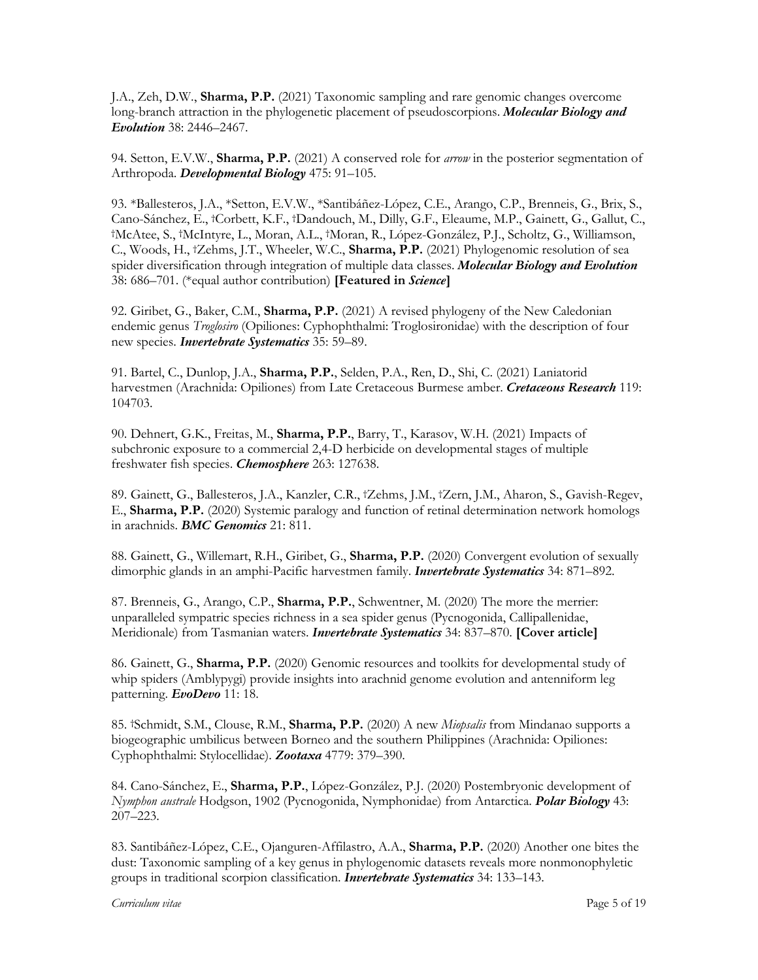J.A., Zeh, D.W., **Sharma, P.P.** (2021) Taxonomic sampling and rare genomic changes overcome long-branch attraction in the phylogenetic placement of pseudoscorpions. *Molecular Biology and Evolution* 38: 2446–2467.

94. Setton, E.V.W., **Sharma, P.P.** (2021) A conserved role for *arrow* in the posterior segmentation of Arthropoda. *Developmental Biology* 475: 91–105.

93. \*Ballesteros, J.A., \*Setton, E.V.W., \*Santibáñez-López, C.E., Arango, C.P., Brenneis, G., Brix, S., Cano-Sánchez, E., †Corbett, K.F., †Dandouch, M., Dilly, G.F., Eleaume, M.P., Gainett, G., Gallut, C., †McAtee, S., †McIntyre, L., Moran, A.L., †Moran, R., López-González, P.J., Scholtz, G., Williamson, C., Woods, H., †Zehms, J.T., Wheeler, W.C., **Sharma, P.P.** (2021) Phylogenomic resolution of sea spider diversification through integration of multiple data classes. *Molecular Biology and Evolution* 38: 686–701. (\*equal author contribution) **[Featured in** *Science***]**

92. Giribet, G., Baker, C.M., **Sharma, P.P.** (2021) A revised phylogeny of the New Caledonian endemic genus *Troglosiro* (Opiliones: Cyphophthalmi: Troglosironidae) with the description of four new species. *Invertebrate Systematics* 35: 59–89.

91. Bartel, C., Dunlop, J.A., **Sharma, P.P.**, Selden, P.A., Ren, D., Shi, C. (2021) Laniatorid harvestmen (Arachnida: Opiliones) from Late Cretaceous Burmese amber. *Cretaceous Research* 119: 104703.

90. Dehnert, G.K., Freitas, M., **Sharma, P.P.**, Barry, T., Karasov, W.H. (2021) Impacts of subchronic exposure to a commercial 2,4-D herbicide on developmental stages of multiple freshwater fish species. *Chemosphere* 263: 127638.

89. Gainett, G., Ballesteros, J.A., Kanzler, C.R., †Zehms, J.M., †Zern, J.M., Aharon, S., Gavish-Regev, E., **Sharma, P.P.** (2020) Systemic paralogy and function of retinal determination network homologs in arachnids. *BMC Genomics* 21: 811.

88. Gainett, G., Willemart, R.H., Giribet, G., **Sharma, P.P.** (2020) Convergent evolution of sexually dimorphic glands in an amphi-Pacific harvestmen family. *Invertebrate Systematics* 34: 871–892.

87. Brenneis, G., Arango, C.P., **Sharma, P.P.**, Schwentner, M. (2020) The more the merrier: unparalleled sympatric species richness in a sea spider genus (Pycnogonida, Callipallenidae, Meridionale) from Tasmanian waters. *Invertebrate Systematics* 34: 837–870. **[Cover article]**

86. Gainett, G., **Sharma, P.P.** (2020) Genomic resources and toolkits for developmental study of whip spiders (Amblypygi) provide insights into arachnid genome evolution and antenniform leg patterning. *EvoDevo* 11: 18.

85. †Schmidt, S.M., Clouse, R.M., **Sharma, P.P.** (2020) A new *Miopsalis* from Mindanao supports a biogeographic umbilicus between Borneo and the southern Philippines (Arachnida: Opiliones: Cyphophthalmi: Stylocellidae). *Zootaxa* 4779: 379–390.

84. Cano-Sánchez, E., **Sharma, P.P.**, López-González, P.J. (2020) Postembryonic development of *Nymphon australe* Hodgson, 1902 (Pycnogonida, Nymphonidae) from Antarctica. *Polar Biology* 43: 207–223.

83. Santibáñez-López, C.E., Ojanguren-Affilastro, A.A., **Sharma, P.P.** (2020) Another one bites the dust: Taxonomic sampling of a key genus in phylogenomic datasets reveals more nonmonophyletic groups in traditional scorpion classification. *Invertebrate Systematics* 34: 133–143.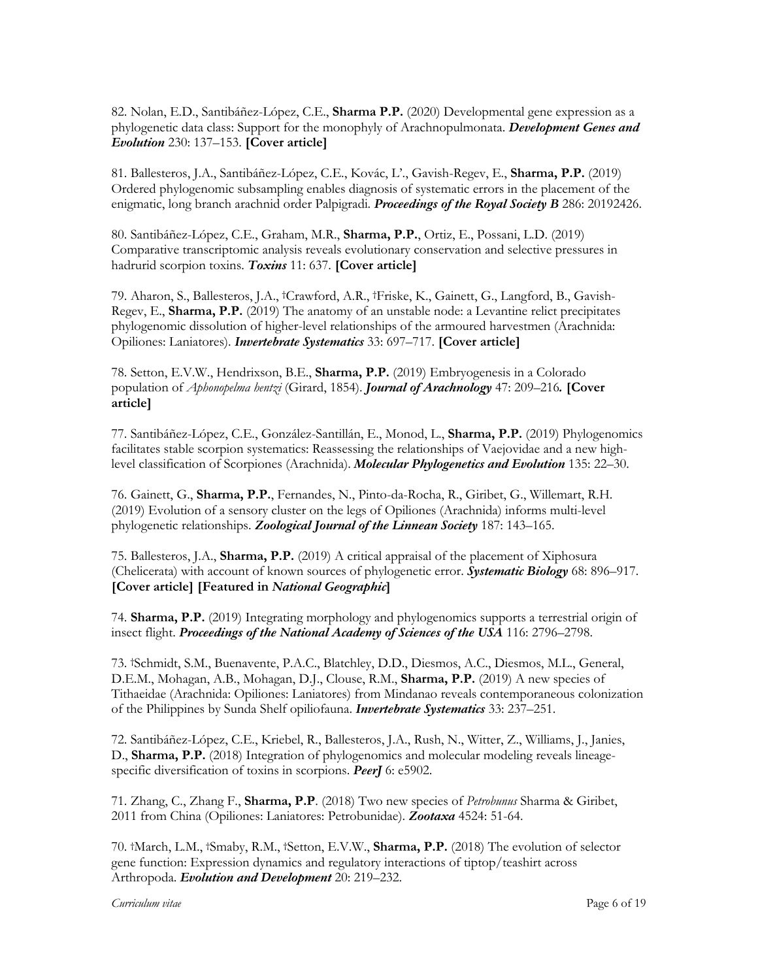82. Nolan, E.D., Santibáñez-López, C.E., **Sharma P.P.** (2020) Developmental gene expression as a phylogenetic data class: Support for the monophyly of Arachnopulmonata. *Development Genes and Evolution* 230: 137–153. **[Cover article]**

81. Ballesteros, J.A., Santibáñez-López, C.E., Kovác, L'., Gavish-Regev, E., **Sharma, P.P.** (2019) Ordered phylogenomic subsampling enables diagnosis of systematic errors in the placement of the enigmatic, long branch arachnid order Palpigradi. *Proceedings of the Royal Society B* 286: 20192426.

80. Santibáñez-López, C.E., Graham, M.R., **Sharma, P.P.**, Ortiz, E., Possani, L.D. (2019) Comparative transcriptomic analysis reveals evolutionary conservation and selective pressures in hadrurid scorpion toxins. *Toxins* 11: 637. **[Cover article]**

79. Aharon, S., Ballesteros, J.A., †Crawford, A.R., †Friske, K., Gainett, G., Langford, B., Gavish-Regev, E., **Sharma, P.P.** (2019) The anatomy of an unstable node: a Levantine relict precipitates phylogenomic dissolution of higher-level relationships of the armoured harvestmen (Arachnida: Opiliones: Laniatores). *Invertebrate Systematics* 33: 697–717. **[Cover article]**

78. Setton, E.V.W., Hendrixson, B.E., **Sharma, P.P.** (2019) Embryogenesis in a Colorado population of *Aphonopelma hentzi* (Girard, 1854). *Journal of Arachnology* 47: 209–216*.* **[Cover article]**

77. Santibáñez-López, C.E., González-Santillán, E., Monod, L., **Sharma, P.P.** (2019) Phylogenomics facilitates stable scorpion systematics: Reassessing the relationships of Vaejovidae and a new highlevel classification of Scorpiones (Arachnida). *Molecular Phylogenetics and Evolution* 135: 22–30.

76. Gainett, G., **Sharma, P.P.**, Fernandes, N., Pinto-da-Rocha, R., Giribet, G., Willemart, R.H. (2019) Evolution of a sensory cluster on the legs of Opiliones (Arachnida) informs multi-level phylogenetic relationships. *Zoological Journal of the Linnean Society* 187: 143–165.

75. Ballesteros, J.A., **Sharma, P.P.** (2019) A critical appraisal of the placement of Xiphosura (Chelicerata) with account of known sources of phylogenetic error. *Systematic Biology* 68: 896–917. **[Cover article] [Featured in** *National Geographic***]**

74. **Sharma, P.P.** (2019) Integrating morphology and phylogenomics supports a terrestrial origin of insect flight. *Proceedings of the National Academy of Sciences of the USA* 116: 2796–2798.

73. †Schmidt, S.M., Buenavente, P.A.C., Blatchley, D.D., Diesmos, A.C., Diesmos, M.L., General, D.E.M., Mohagan, A.B., Mohagan, D.J., Clouse, R.M., **Sharma, P.P.** (2019) A new species of Tithaeidae (Arachnida: Opiliones: Laniatores) from Mindanao reveals contemporaneous colonization of the Philippines by Sunda Shelf opiliofauna. *Invertebrate Systematics* 33: 237–251.

72. Santibáñez-López, C.E., Kriebel, R., Ballesteros, J.A., Rush, N., Witter, Z., Williams, J., Janies, D., **Sharma, P.P.** (2018) Integration of phylogenomics and molecular modeling reveals lineagespecific diversification of toxins in scorpions. *PeerJ* 6: e5902.

71. Zhang, C., Zhang F., **Sharma, P.P**. (2018) Two new species of *Petrobunus* Sharma & Giribet, 2011 from China (Opiliones: Laniatores: Petrobunidae). *Zootaxa* 4524: 51-64.

70. †March, L.M., †Smaby, R.M., †Setton, E.V.W., **Sharma, P.P.** (2018) The evolution of selector gene function: Expression dynamics and regulatory interactions of tiptop/teashirt across Arthropoda. *Evolution and Development* 20: 219–232.

*Curriculum vitae* Page 6 of 19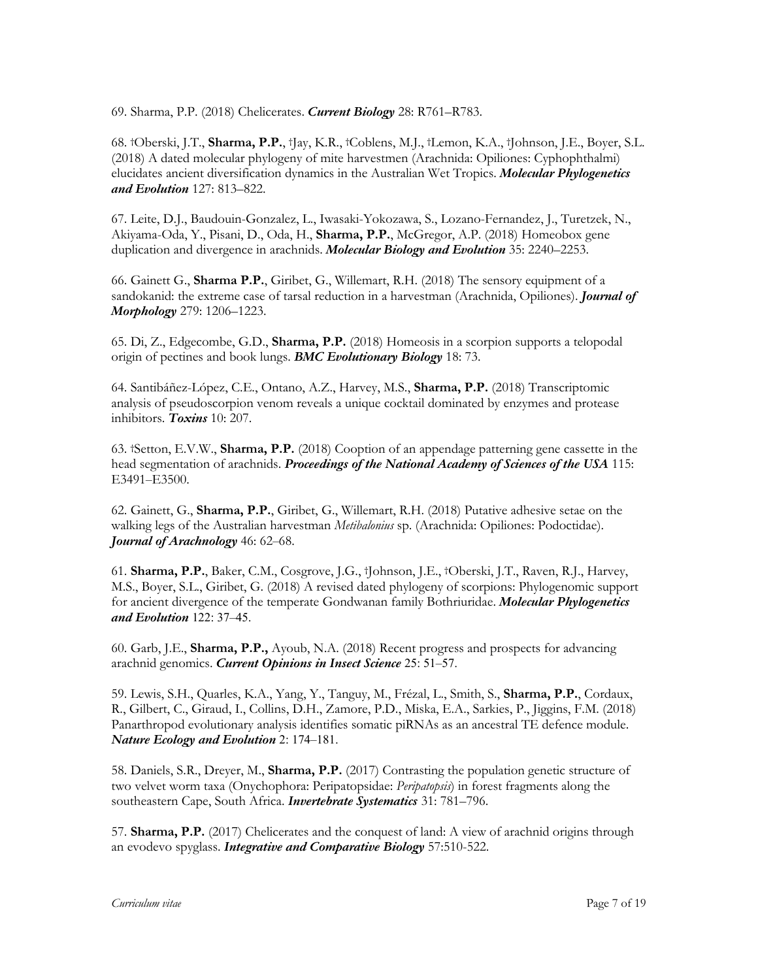69. Sharma, P.P. (2018) Chelicerates. *Current Biology* 28: R761–R783.

68. †Oberski, J.T., **Sharma, P.P.**, †Jay, K.R., †Coblens, M.J., †Lemon, K.A., †Johnson, J.E., Boyer, S.L. (2018) A dated molecular phylogeny of mite harvestmen (Arachnida: Opiliones: Cyphophthalmi) elucidates ancient diversification dynamics in the Australian Wet Tropics. *Molecular Phylogenetics and Evolution* 127: 813–822.

67. Leite, D.J., Baudouin-Gonzalez, L., Iwasaki-Yokozawa, S., Lozano-Fernandez, J., Turetzek, N., Akiyama-Oda, Y., Pisani, D., Oda, H., **Sharma, P.P.**, McGregor, A.P. (2018) Homeobox gene duplication and divergence in arachnids. *Molecular Biology and Evolution* 35: 2240–2253.

66. Gainett G., **Sharma P.P.**, Giribet, G., Willemart, R.H. (2018) The sensory equipment of a sandokanid: the extreme case of tarsal reduction in a harvestman (Arachnida, Opiliones). *Journal of Morphology* 279: 1206–1223.

65. Di, Z., Edgecombe, G.D., **Sharma, P.P.** (2018) Homeosis in a scorpion supports a telopodal origin of pectines and book lungs. *BMC Evolutionary Biology* 18: 73.

64. Santibáñez-López, C.E., Ontano, A.Z., Harvey, M.S., **Sharma, P.P.** (2018) Transcriptomic analysis of pseudoscorpion venom reveals a unique cocktail dominated by enzymes and protease inhibitors. *Toxins* 10: 207.

63. †Setton, E.V.W., **Sharma, P.P.** (2018) Cooption of an appendage patterning gene cassette in the head segmentation of arachnids. *Proceedings of the National Academy of Sciences of the USA* 115: E3491–E3500.

62. Gainett, G., **Sharma, P.P.**, Giribet, G., Willemart, R.H. (2018) Putative adhesive setae on the walking legs of the Australian harvestman *Metibalonius* sp. (Arachnida: Opiliones: Podoctidae). *Journal of Arachnology* 46: 62–68.

61. **Sharma, P.P.**, Baker, C.M., Cosgrove, J.G., †Johnson, J.E., †Oberski, J.T., Raven, R.J., Harvey, M.S., Boyer, S.L., Giribet, G. (2018) A revised dated phylogeny of scorpions: Phylogenomic support for ancient divergence of the temperate Gondwanan family Bothriuridae. *Molecular Phylogenetics and Evolution* 122: 37–45.

60. Garb, J.E., **Sharma, P.P.,** Ayoub, N.A. (2018) Recent progress and prospects for advancing arachnid genomics. *Current Opinions in Insect Science* 25: 51–57.

59. Lewis, S.H., Quarles, K.A., Yang, Y., Tanguy, M., Frézal, L., Smith, S., **Sharma, P.P.**, Cordaux, R., Gilbert, C., Giraud, I., Collins, D.H., Zamore, P.D., Miska, E.A., Sarkies, P., Jiggins, F.M. (2018) Panarthropod evolutionary analysis identifies somatic piRNAs as an ancestral TE defence module. *Nature Ecology and Evolution* 2: 174–181.

58. Daniels, S.R., Dreyer, M., **Sharma, P.P.** (2017) Contrasting the population genetic structure of two velvet worm taxa (Onychophora: Peripatopsidae: *Peripatopsis*) in forest fragments along the southeastern Cape, South Africa. *Invertebrate Systematics* 31: 781–796.

57. **Sharma, P.P.** (2017) Chelicerates and the conquest of land: A view of arachnid origins through an evodevo spyglass. *Integrative and Comparative Biology* 57:510-522.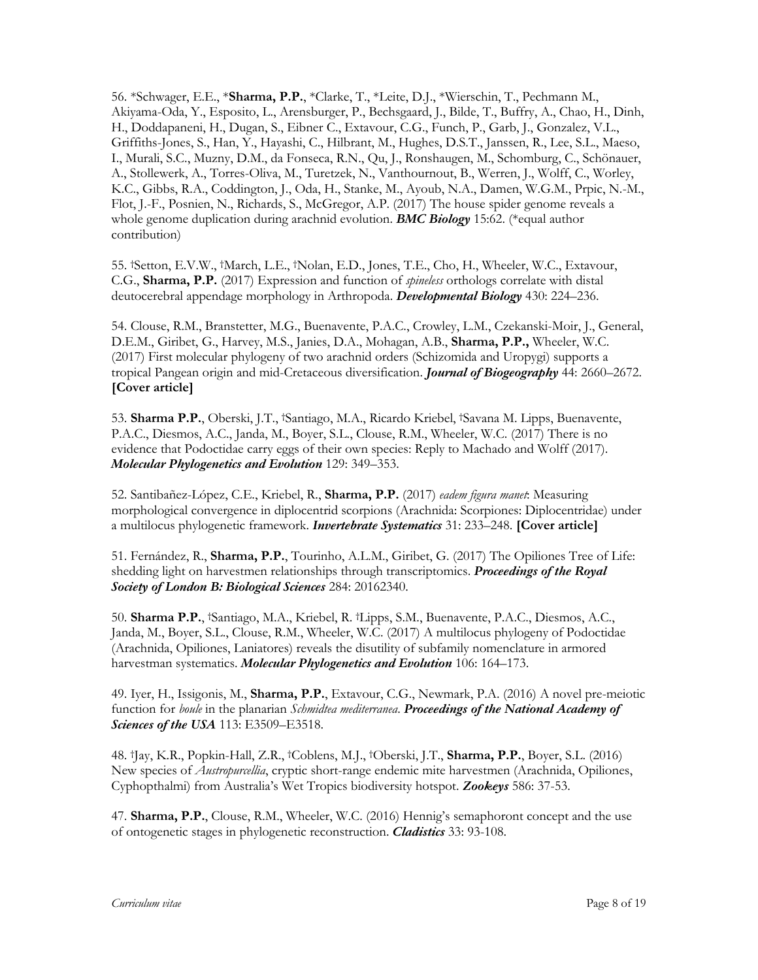56. \*Schwager, E.E., \***Sharma, P.P.**, \*Clarke, T., \*Leite, D.J., \*Wierschin, T., Pechmann M., Akiyama-Oda, Y., Esposito, L., Arensburger, P., Bechsgaard, J., Bilde, T., Buffry, A., Chao, H., Dinh, H., Doddapaneni, H., Dugan, S., Eibner C., Extavour, C.G., Funch, P., Garb, J., Gonzalez, V.L., Griffiths-Jones, S., Han, Y., Hayashi, C., Hilbrant, M., Hughes, D.S.T., Janssen, R., Lee, S.L., Maeso, I., Murali, S.C., Muzny, D.M., da Fonseca, R.N., Qu, J., Ronshaugen, M., Schomburg, C., Schönauer, A., Stollewerk, A., Torres-Oliva, M., Turetzek, N., Vanthournout, B., Werren, J., Wolff, C., Worley, K.C., Gibbs, R.A., Coddington, J., Oda, H., Stanke, M., Ayoub, N.A., Damen, W.G.M., Prpic, N.-M., Flot, J.-F., Posnien, N., Richards, S., McGregor, A.P. (2017) The house spider genome reveals a whole genome duplication during arachnid evolution. *BMC Biology* 15:62. (\*equal author contribution)

55. †Setton, E.V.W., †March, L.E., †Nolan, E.D., Jones, T.E., Cho, H., Wheeler, W.C., Extavour, C.G., **Sharma, P.P.** (2017) Expression and function of *spineless* orthologs correlate with distal deutocerebral appendage morphology in Arthropoda. *Developmental Biology* 430: 224–236.

54. Clouse, R.M., Branstetter, M.G., Buenavente, P.A.C., Crowley, L.M., Czekanski-Moir, J., General, D.E.M., Giribet, G., Harvey, M.S., Janies, D.A., Mohagan, A.B., **Sharma, P.P.,** Wheeler, W.C. (2017) First molecular phylogeny of two arachnid orders (Schizomida and Uropygi) supports a tropical Pangean origin and mid-Cretaceous diversification. *Journal of Biogeography* 44: 2660–2672. **[Cover article]**

53. **Sharma P.P.**, Oberski, J.T., †Santiago, M.A., Ricardo Kriebel, †Savana M. Lipps, Buenavente, P.A.C., Diesmos, A.C., Janda, M., Boyer, S.L., Clouse, R.M., Wheeler, W.C. (2017) There is no evidence that Podoctidae carry eggs of their own species: Reply to Machado and Wolff (2017). *Molecular Phylogenetics and Evolution* 129: 349–353.

52. Santibañez-López, C.E., Kriebel, R., **Sharma, P.P.** (2017) *eadem figura manet*: Measuring morphological convergence in diplocentrid scorpions (Arachnida: Scorpiones: Diplocentridae) under a multilocus phylogenetic framework. *Invertebrate Systematics* 31: 233–248. **[Cover article]**

51. Fernández, R., **Sharma, P.P.**, Tourinho, A.L.M., Giribet, G. (2017) The Opiliones Tree of Life: shedding light on harvestmen relationships through transcriptomics. *Proceedings of the Royal Society of London B: Biological Sciences* 284: 20162340.

50. **Sharma P.P.**, †Santiago, M.A., Kriebel, R. †Lipps, S.M., Buenavente, P.A.C., Diesmos, A.C., Janda, M., Boyer, S.L., Clouse, R.M., Wheeler, W.C. (2017) A multilocus phylogeny of Podoctidae (Arachnida, Opiliones, Laniatores) reveals the disutility of subfamily nomenclature in armored harvestman systematics. *Molecular Phylogenetics and Evolution* 106: 164–173.

49. Iyer, H., Issigonis, M., **Sharma, P.P.**, Extavour, C.G., Newmark, P.A. (2016) A novel pre-meiotic function for *boule* in the planarian *Schmidtea mediterranea*. *Proceedings of the National Academy of Sciences of the USA* 113: E3509–E3518.

48. †Jay, K.R., Popkin-Hall, Z.R., †Coblens, M.J., †Oberski, J.T., **Sharma, P.P.**, Boyer, S.L. (2016) New species of *Austropurcellia*, cryptic short-range endemic mite harvestmen (Arachnida, Opiliones, Cyphopthalmi) from Australia's Wet Tropics biodiversity hotspot. *Zookeys* 586: 37-53.

47. **Sharma, P.P.**, Clouse, R.M., Wheeler, W.C. (2016) Hennig's semaphoront concept and the use of ontogenetic stages in phylogenetic reconstruction. *Cladistics* 33: 93-108.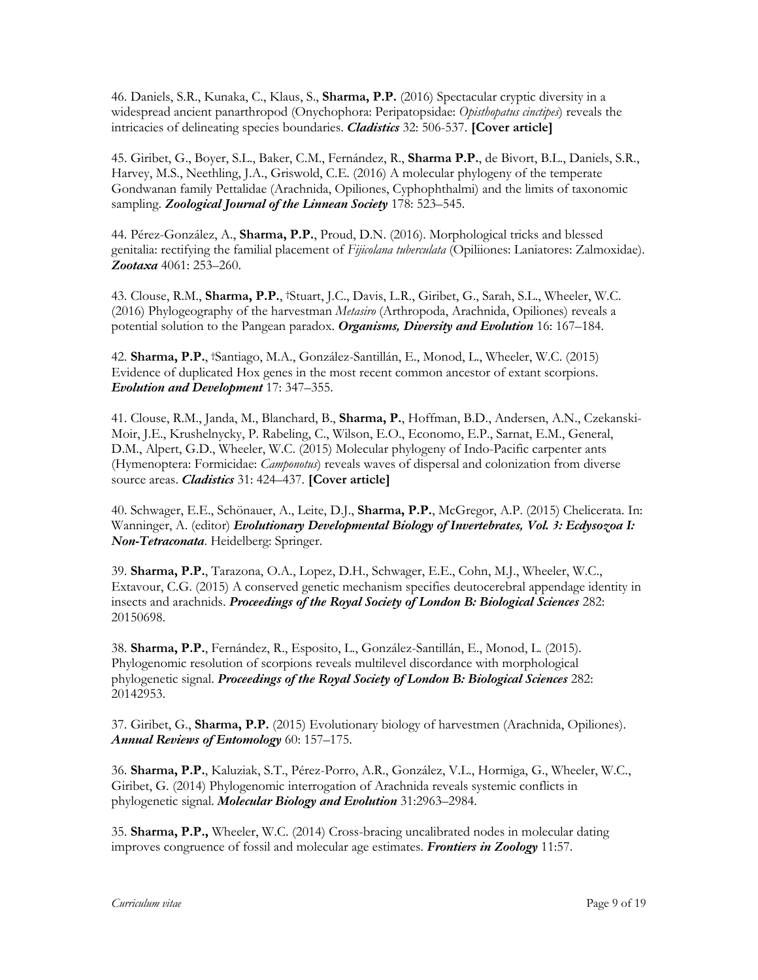46. Daniels, S.R., Kunaka, C., Klaus, S., **Sharma, P.P.** (2016) Spectacular cryptic diversity in a widespread ancient panarthropod (Onychophora: Peripatopsidae: *Opisthopatus cinctipes*) reveals the intricacies of delineating species boundaries. *Cladistics* 32: 506-537. **[Cover article]**

45. Giribet, G., Boyer, S.L., Baker, C.M., Fernández, R., **Sharma P.P.**, de Bivort, B.L., Daniels, S.R., Harvey, M.S., Neethling, J.A., Griswold, C.E. (2016) A molecular phylogeny of the temperate Gondwanan family Pettalidae (Arachnida, Opiliones, Cyphophthalmi) and the limits of taxonomic sampling. *Zoological Journal of the Linnean Society* 178: 523–545.

44. Pérez-González, A., **Sharma, P.P.**, Proud, D.N. (2016). Morphological tricks and blessed genitalia: rectifying the familial placement of *Fijicolana tuberculata* (Opiliiones: Laniatores: Zalmoxidae). *Zootaxa* 4061: 253–260.

43. Clouse, R.M., **Sharma, P.P.**, †Stuart, J.C., Davis, L.R., Giribet, G., Sarah, S.L., Wheeler, W.C. (2016) Phylogeography of the harvestman *Metasiro* (Arthropoda, Arachnida, Opiliones) reveals a potential solution to the Pangean paradox. *Organisms, Diversity and Evolution* 16: 167–184.

42. **Sharma, P.P.**, †Santiago, M.A., González-Santillán, E., Monod, L., Wheeler, W.C. (2015) Evidence of duplicated Hox genes in the most recent common ancestor of extant scorpions. *Evolution and Development* 17: 347–355.

41. Clouse, R.M., Janda, M., Blanchard, B., **Sharma, P.**, Hoffman, B.D., Andersen, A.N., Czekanski-Moir, J.E., Krushelnycky, P. Rabeling, C., Wilson, E.O., Economo, E.P., Sarnat, E.M., General, D.M., Alpert, G.D., Wheeler, W.C. (2015) Molecular phylogeny of Indo-Pacific carpenter ants (Hymenoptera: Formicidae: *Camponotus*) reveals waves of dispersal and colonization from diverse source areas. *Cladistics* 31: 424–437. **[Cover article]**

40. Schwager, E.E., Schönauer, A., Leite, D.J., **Sharma, P.P.**, McGregor, A.P. (2015) Chelicerata. In: Wanninger, A. (editor) *Evolutionary Developmental Biology of Invertebrates, Vol. 3: Ecdysozoa I: Non-Tetraconata*. Heidelberg: Springer.

39. **Sharma, P.P.**, Tarazona, O.A., Lopez, D.H., Schwager, E.E., Cohn, M.J., Wheeler, W.C., Extavour, C.G. (2015) A conserved genetic mechanism specifies deutocerebral appendage identity in insects and arachnids. *Proceedings of the Royal Society of London B: Biological Sciences* 282: 20150698.

38. **Sharma, P.P.**, Fernández, R., Esposito, L., González-Santillán, E., Monod, L. (2015). Phylogenomic resolution of scorpions reveals multilevel discordance with morphological phylogenetic signal. *Proceedings of the Royal Society of London B: Biological Sciences* 282: 20142953.

37. Giribet, G., **Sharma, P.P.** (2015) Evolutionary biology of harvestmen (Arachnida, Opiliones). *Annual Reviews of Entomology* 60: 157–175.

36. **Sharma, P.P.**, Kaluziak, S.T., Pérez-Porro, A.R., González, V.L., Hormiga, G., Wheeler, W.C., Giribet, G. (2014) Phylogenomic interrogation of Arachnida reveals systemic conflicts in phylogenetic signal. *Molecular Biology and Evolution* 31:2963–2984.

35. **Sharma, P.P.,** Wheeler, W.C. (2014) Cross-bracing uncalibrated nodes in molecular dating improves congruence of fossil and molecular age estimates. *Frontiers in Zoology* 11:57.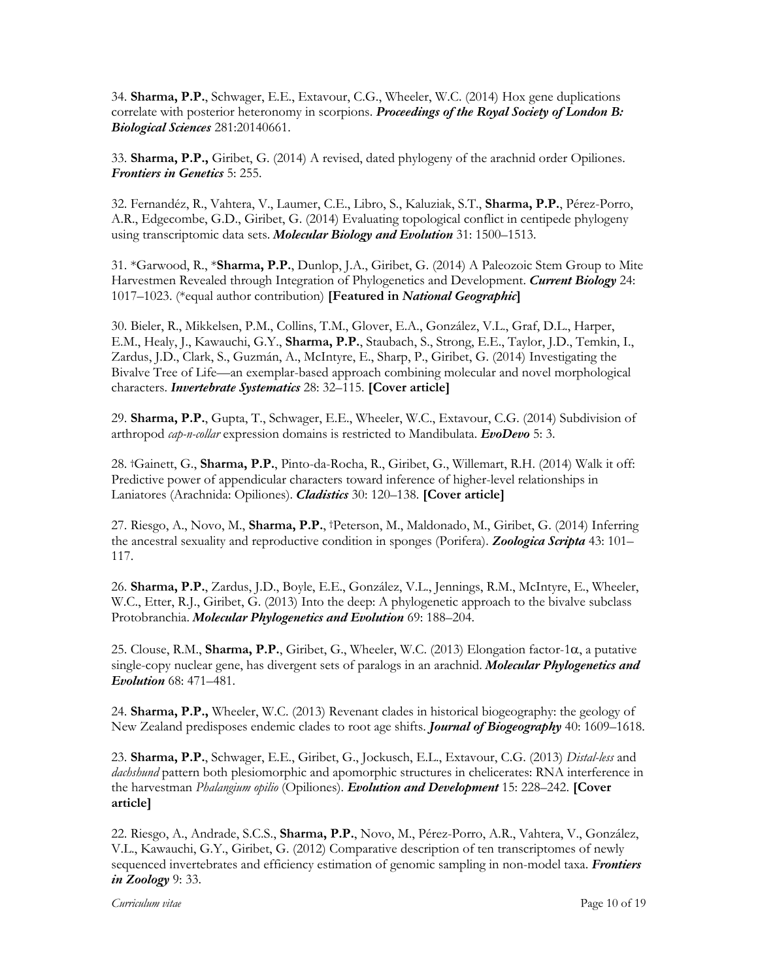34. **Sharma, P.P.**, Schwager, E.E., Extavour, C.G., Wheeler, W.C. (2014) Hox gene duplications correlate with posterior heteronomy in scorpions. *Proceedings of the Royal Society of London B: Biological Sciences* 281:20140661.

33. **Sharma, P.P.,** Giribet, G. (2014) A revised, dated phylogeny of the arachnid order Opiliones. *Frontiers in Genetics* 5: 255.

32. Fernandéz, R., Vahtera, V., Laumer, C.E., Libro, S., Kaluziak, S.T., **Sharma, P.P.**, Pérez-Porro, A.R., Edgecombe, G.D., Giribet, G. (2014) Evaluating topological conflict in centipede phylogeny using transcriptomic data sets. *Molecular Biology and Evolution* 31: 1500–1513.

31. \*Garwood, R., \***Sharma, P.P.**, Dunlop, J.A., Giribet, G. (2014) A Paleozoic Stem Group to Mite Harvestmen Revealed through Integration of Phylogenetics and Development. *Current Biology* 24: 1017–1023. (\*equal author contribution) **[Featured in** *National Geographic***]**

30. Bieler, R., Mikkelsen, P.M., Collins, T.M., Glover, E.A., González, V.L., Graf, D.L., Harper, E.M., Healy, J., Kawauchi, G.Y., **Sharma, P.P.**, Staubach, S., Strong, E.E., Taylor, J.D., Temkin, I., Zardus, J.D., Clark, S., Guzmán, A., McIntyre, E., Sharp, P., Giribet, G. (2014) Investigating the Bivalve Tree of Life—an exemplar-based approach combining molecular and novel morphological characters. *Invertebrate Systematics* 28: 32–115. **[Cover article]**

29. **Sharma, P.P.**, Gupta, T., Schwager, E.E., Wheeler, W.C., Extavour, C.G. (2014) Subdivision of arthropod *cap-n-collar* expression domains is restricted to Mandibulata. *EvoDevo* 5: 3.

28. †Gainett, G., **Sharma, P.P.**, Pinto-da-Rocha, R., Giribet, G., Willemart, R.H. (2014) Walk it off: Predictive power of appendicular characters toward inference of higher-level relationships in Laniatores (Arachnida: Opiliones). *Cladistics* 30: 120–138. **[Cover article]**

27. Riesgo, A., Novo, M., **Sharma, P.P.**, †Peterson, M., Maldonado, M., Giribet, G. (2014) Inferring the ancestral sexuality and reproductive condition in sponges (Porifera). *Zoologica Scripta* 43: 101– 117.

26. **Sharma, P.P.**, Zardus, J.D., Boyle, E.E., González, V.L., Jennings, R.M., McIntyre, E., Wheeler, W.C., Etter, R.J., Giribet, G. (2013) Into the deep: A phylogenetic approach to the bivalve subclass Protobranchia. *Molecular Phylogenetics and Evolution* 69: 188–204.

25. Clouse, R.M., **Sharma, P.P.**, Giribet, G., Wheeler, W.C. (2013) Elongation factor-1a, a putative single-copy nuclear gene, has divergent sets of paralogs in an arachnid. *Molecular Phylogenetics and Evolution* 68: 471–481.

24. **Sharma, P.P.,** Wheeler, W.C. (2013) Revenant clades in historical biogeography: the geology of New Zealand predisposes endemic clades to root age shifts. *Journal of Biogeography* 40: 1609–1618.

23. **Sharma, P.P.**, Schwager, E.E., Giribet, G., Jockusch, E.L., Extavour, C.G. (2013) *Distal-less* and *dachshund* pattern both plesiomorphic and apomorphic structures in chelicerates: RNA interference in the harvestman *Phalangium opilio* (Opiliones). *Evolution and Development* 15: 228–242. **[Cover article]** 

22. Riesgo, A., Andrade, S.C.S., **Sharma, P.P.**, Novo, M., Pérez-Porro, A.R., Vahtera, V., González, V.L., Kawauchi, G.Y., Giribet, G. (2012) Comparative description of ten transcriptomes of newly sequenced invertebrates and efficiency estimation of genomic sampling in non-model taxa. *Frontiers in Zoology* 9: 33.

*Curriculum vitae* Page 10 of 19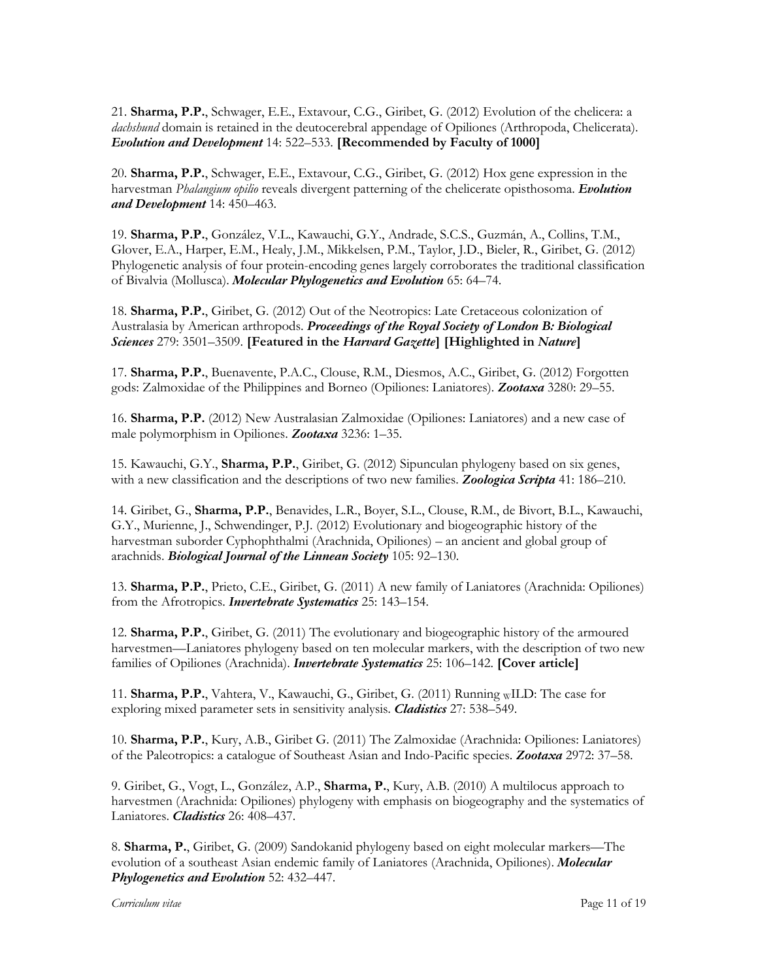21. **Sharma, P.P.**, Schwager, E.E., Extavour, C.G., Giribet, G. (2012) Evolution of the chelicera: a *dachshund* domain is retained in the deutocerebral appendage of Opiliones (Arthropoda, Chelicerata). *Evolution and Development* 14: 522–533. **[Recommended by Faculty of 1000]**

20. **Sharma, P.P.**, Schwager, E.E., Extavour, C.G., Giribet, G. (2012) Hox gene expression in the harvestman *Phalangium opilio* reveals divergent patterning of the chelicerate opisthosoma. *Evolution and Development* 14: 450–463.

19. **Sharma, P.P.**, González, V.L., Kawauchi, G.Y., Andrade, S.C.S., Guzmán, A., Collins, T.M., Glover, E.A., Harper, E.M., Healy, J.M., Mikkelsen, P.M., Taylor, J.D., Bieler, R., Giribet, G. (2012) Phylogenetic analysis of four protein-encoding genes largely corroborates the traditional classification of Bivalvia (Mollusca). *Molecular Phylogenetics and Evolution* 65: 64–74.

18. **Sharma, P.P.**, Giribet, G. (2012) Out of the Neotropics: Late Cretaceous colonization of Australasia by American arthropods. *Proceedings of the Royal Society of London B: Biological Sciences* 279: 3501–3509. **[Featured in the** *Harvard Gazette***] [Highlighted in** *Nature***]**

17. **Sharma, P.P.**, Buenavente, P.A.C., Clouse, R.M., Diesmos, A.C., Giribet, G. (2012) Forgotten gods: Zalmoxidae of the Philippines and Borneo (Opiliones: Laniatores). *Zootaxa* 3280: 29–55.

16. **Sharma, P.P.** (2012) New Australasian Zalmoxidae (Opiliones: Laniatores) and a new case of male polymorphism in Opiliones. *Zootaxa* 3236: 1–35.

15. Kawauchi, G.Y., **Sharma, P.P.**, Giribet, G. (2012) Sipunculan phylogeny based on six genes, with a new classification and the descriptions of two new families. *Zoologica Scripta* 41: 186–210.

14. Giribet, G., **Sharma, P.P.**, Benavides, L.R., Boyer, S.L., Clouse, R.M., de Bivort, B.L., Kawauchi, G.Y., Murienne, J., Schwendinger, P.J. (2012) Evolutionary and biogeographic history of the harvestman suborder Cyphophthalmi (Arachnida, Opiliones) – an ancient and global group of arachnids. *Biological Journal of the Linnean Society* 105: 92–130.

13. **Sharma, P.P.**, Prieto, C.E., Giribet, G. (2011) A new family of Laniatores (Arachnida: Opiliones) from the Afrotropics. *Invertebrate Systematics* 25: 143–154.

12. **Sharma, P.P.**, Giribet, G. (2011) The evolutionary and biogeographic history of the armoured harvestmen—Laniatores phylogeny based on ten molecular markers, with the description of two new families of Opiliones (Arachnida). *Invertebrate Systematics* 25: 106–142. **[Cover article]** 

11. **Sharma, P.P.**, Vahtera, V., Kawauchi, G., Giribet, G. (2011) Running WILD: The case for exploring mixed parameter sets in sensitivity analysis*. Cladistics* 27: 538–549.

10. **Sharma, P.P.**, Kury, A.B., Giribet G. (2011) The Zalmoxidae (Arachnida: Opiliones: Laniatores) of the Paleotropics: a catalogue of Southeast Asian and Indo-Pacific species. *Zootaxa* 2972: 37–58.

9. Giribet, G., Vogt, L., González, A.P., **Sharma, P.**, Kury, A.B. (2010) A multilocus approach to harvestmen (Arachnida: Opiliones) phylogeny with emphasis on biogeography and the systematics of Laniatores. *Cladistics* 26: 408–437.

8. **Sharma, P.**, Giribet, G. (2009) Sandokanid phylogeny based on eight molecular markers—The evolution of a southeast Asian endemic family of Laniatores (Arachnida, Opiliones). *Molecular Phylogenetics and Evolution* 52: 432–447.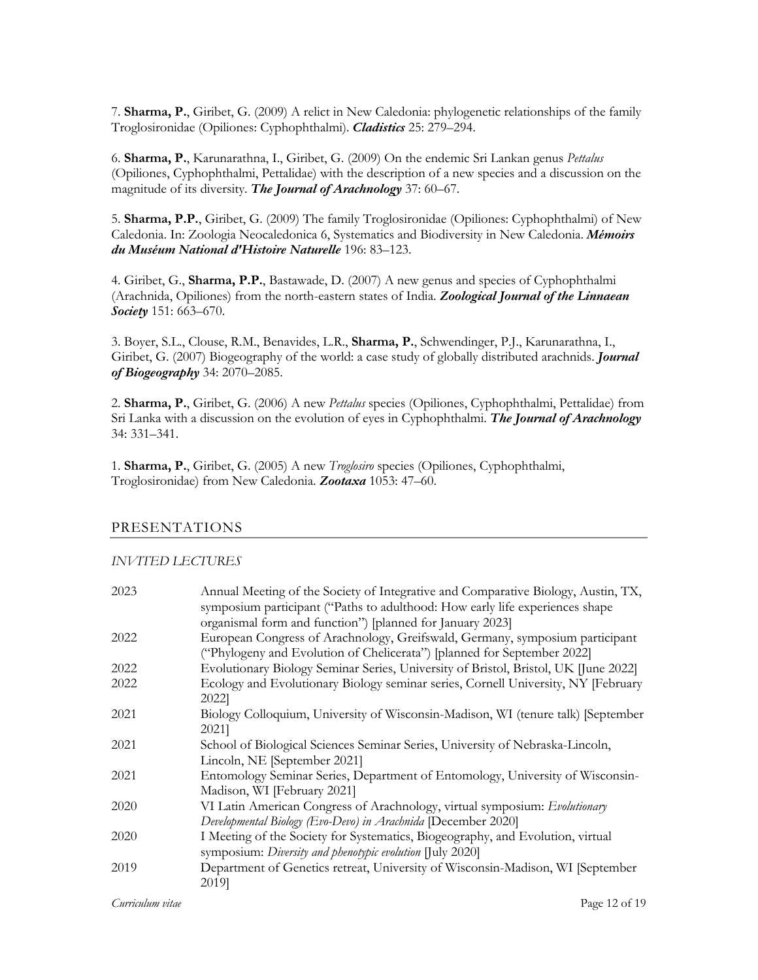7. **Sharma, P.**, Giribet, G. (2009) A relict in New Caledonia: phylogenetic relationships of the family Troglosironidae (Opiliones: Cyphophthalmi). *Cladistics* 25: 279–294.

6. **Sharma, P.**, Karunarathna, I., Giribet, G. (2009) On the endemic Sri Lankan genus *Pettalus* (Opiliones, Cyphophthalmi, Pettalidae) with the description of a new species and a discussion on the magnitude of its diversity. *The Journal of Arachnology* 37: 60–67.

5. **Sharma, P.P.**, Giribet, G. (2009) The family Troglosironidae (Opiliones: Cyphophthalmi) of New Caledonia. In: Zoologia Neocaledonica 6, Systematics and Biodiversity in New Caledonia. *Mémoirs du Muséum National d'Histoire Naturelle* 196: 83–123.

4. Giribet, G., **Sharma, P.P.**, Bastawade, D. (2007) A new genus and species of Cyphophthalmi (Arachnida, Opiliones) from the north-eastern states of India. *Zoological Journal of the Linnaean Society* 151: 663–670.

3. Boyer, S.L., Clouse, R.M., Benavides, L.R., **Sharma, P.**, Schwendinger, P.J., Karunarathna, I., Giribet, G. (2007) Biogeography of the world: a case study of globally distributed arachnids. *Journal of Biogeography* 34: 2070–2085.

2. **Sharma, P.**, Giribet, G. (2006) A new *Pettalus* species (Opiliones, Cyphophthalmi, Pettalidae) from Sri Lanka with a discussion on the evolution of eyes in Cyphophthalmi. *The Journal of Arachnology* 34: 331–341.

1. **Sharma, P.**, Giribet, G. (2005) A new *Troglosiro* species (Opiliones, Cyphophthalmi, Troglosironidae) from New Caledonia. *Zootaxa* 1053: 47–60.

## PRESENTATIONS

#### *INVITED LECTURES*

| 2023 | Annual Meeting of the Society of Integrative and Comparative Biology, Austin, TX,<br>symposium participant ("Paths to adulthood: How early life experiences shape<br>organismal form and function") [planned for January 2023] |
|------|--------------------------------------------------------------------------------------------------------------------------------------------------------------------------------------------------------------------------------|
| 2022 | European Congress of Arachnology, Greifswald, Germany, symposium participant<br>("Phylogeny and Evolution of Chelicerata") [planned for September 2022]                                                                        |
| 2022 | Evolutionary Biology Seminar Series, University of Bristol, Bristol, UK [June 2022]                                                                                                                                            |
| 2022 | Ecology and Evolutionary Biology seminar series, Cornell University, NY [February<br>2022]                                                                                                                                     |
| 2021 | Biology Colloquium, University of Wisconsin-Madison, WI (tenure talk) [September<br>2021]                                                                                                                                      |
| 2021 | School of Biological Sciences Seminar Series, University of Nebraska-Lincoln,<br>Lincoln, NE [September 2021]                                                                                                                  |
| 2021 | Entomology Seminar Series, Department of Entomology, University of Wisconsin-<br>Madison, WI [February 2021]                                                                                                                   |
| 2020 | VI Latin American Congress of Arachnology, virtual symposium: Evolutionary<br>Developmental Biology (Evo-Devo) in Arachnida [December 2020]                                                                                    |
| 2020 | I Meeting of the Society for Systematics, Biogeography, and Evolution, virtual<br>symposium: Diversity and phenotypic evolution [July 2020]                                                                                    |
| 2019 | Department of Genetics retreat, University of Wisconsin-Madison, WI [September<br>2019]                                                                                                                                        |

*Curriculum vitae* Page 12 of 19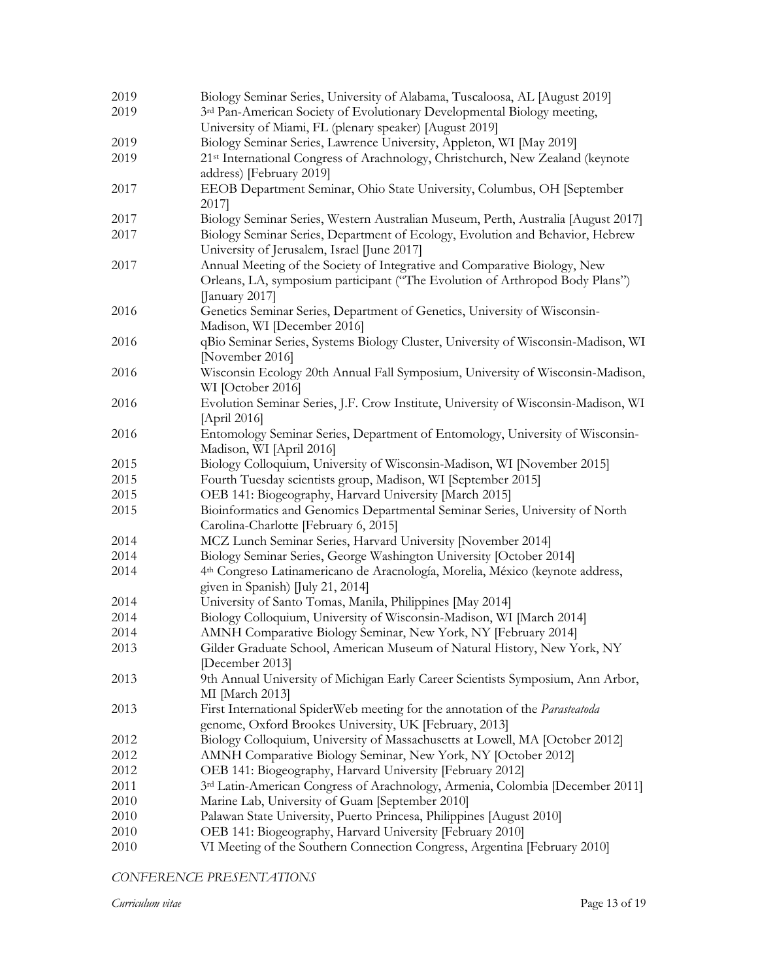| 2019 | Biology Seminar Series, University of Alabama, Tuscaloosa, AL [August 2019]                                                  |
|------|------------------------------------------------------------------------------------------------------------------------------|
| 2019 | 3rd Pan-American Society of Evolutionary Developmental Biology meeting,                                                      |
|      | University of Miami, FL (plenary speaker) [August 2019]                                                                      |
| 2019 | Biology Seminar Series, Lawrence University, Appleton, WI [May 2019]                                                         |
| 2019 | 21 <sup>st</sup> International Congress of Arachnology, Christchurch, New Zealand (keynote                                   |
|      | address) [February 2019]                                                                                                     |
| 2017 | EEOB Department Seminar, Ohio State University, Columbus, OH [September                                                      |
|      | 2017]                                                                                                                        |
| 2017 | Biology Seminar Series, Western Australian Museum, Perth, Australia [August 2017]                                            |
| 2017 | Biology Seminar Series, Department of Ecology, Evolution and Behavior, Hebrew<br>University of Jerusalem, Israel [June 2017] |
| 2017 | Annual Meeting of the Society of Integrative and Comparative Biology, New                                                    |
|      | Orleans, LA, symposium participant ("The Evolution of Arthropod Body Plans")                                                 |
|      | [January 2017]                                                                                                               |
| 2016 | Genetics Seminar Series, Department of Genetics, University of Wisconsin-                                                    |
|      | Madison, WI [December 2016]                                                                                                  |
| 2016 | qBio Seminar Series, Systems Biology Cluster, University of Wisconsin-Madison, WI                                            |
|      | [November 2016]                                                                                                              |
| 2016 | Wisconsin Ecology 20th Annual Fall Symposium, University of Wisconsin-Madison,                                               |
|      | WI [October 2016]                                                                                                            |
| 2016 | Evolution Seminar Series, J.F. Crow Institute, University of Wisconsin-Madison, WI                                           |
|      | [April 2016]                                                                                                                 |
| 2016 | Entomology Seminar Series, Department of Entomology, University of Wisconsin-                                                |
|      | Madison, WI [April 2016]                                                                                                     |
| 2015 | Biology Colloquium, University of Wisconsin-Madison, WI [November 2015]                                                      |
| 2015 | Fourth Tuesday scientists group, Madison, WI [September 2015]                                                                |
| 2015 | OEB 141: Biogeography, Harvard University [March 2015]                                                                       |
| 2015 | Bioinformatics and Genomics Departmental Seminar Series, University of North                                                 |
|      | Carolina-Charlotte [February 6, 2015]                                                                                        |
| 2014 | MCZ Lunch Seminar Series, Harvard University [November 2014]                                                                 |
| 2014 | Biology Seminar Series, George Washington University [October 2014]                                                          |
| 2014 | 4 <sup>th</sup> Congreso Latinamericano de Aracnología, Morelia, México (keynote address,                                    |
|      | given in Spanish) [July 21, 2014]                                                                                            |
| 2014 | University of Santo Tomas, Manila, Philippines [May 2014]                                                                    |
| 2014 | Biology Colloquium, University of Wisconsin-Madison, WI [March 2014]                                                         |
| 2014 | AMNH Comparative Biology Seminar, New York, NY [February 2014]                                                               |
| 2013 | Gilder Graduate School, American Museum of Natural History, New York, NY                                                     |
|      | [December 2013]                                                                                                              |
| 2013 | 9th Annual University of Michigan Early Career Scientists Symposium, Ann Arbor,                                              |
|      | MI [March 2013]                                                                                                              |
| 2013 | First International SpiderWeb meeting for the annotation of the Parasteatoda                                                 |
|      | genome, Oxford Brookes University, UK [February, 2013]                                                                       |
| 2012 | Biology Colloquium, University of Massachusetts at Lowell, MA [October 2012]                                                 |
| 2012 | AMNH Comparative Biology Seminar, New York, NY [October 2012]                                                                |
| 2012 | OEB 141: Biogeography, Harvard University [February 2012]                                                                    |
| 2011 | 3rd Latin-American Congress of Arachnology, Armenia, Colombia [December 2011]                                                |
| 2010 | Marine Lab, University of Guam [September 2010]                                                                              |
| 2010 | Palawan State University, Puerto Princesa, Philippines [August 2010]                                                         |
| 2010 | OEB 141: Biogeography, Harvard University [February 2010]                                                                    |
| 2010 | VI Meeting of the Southern Connection Congress, Argentina [February 2010]                                                    |

*CONFERENCE PRESENTATIONS*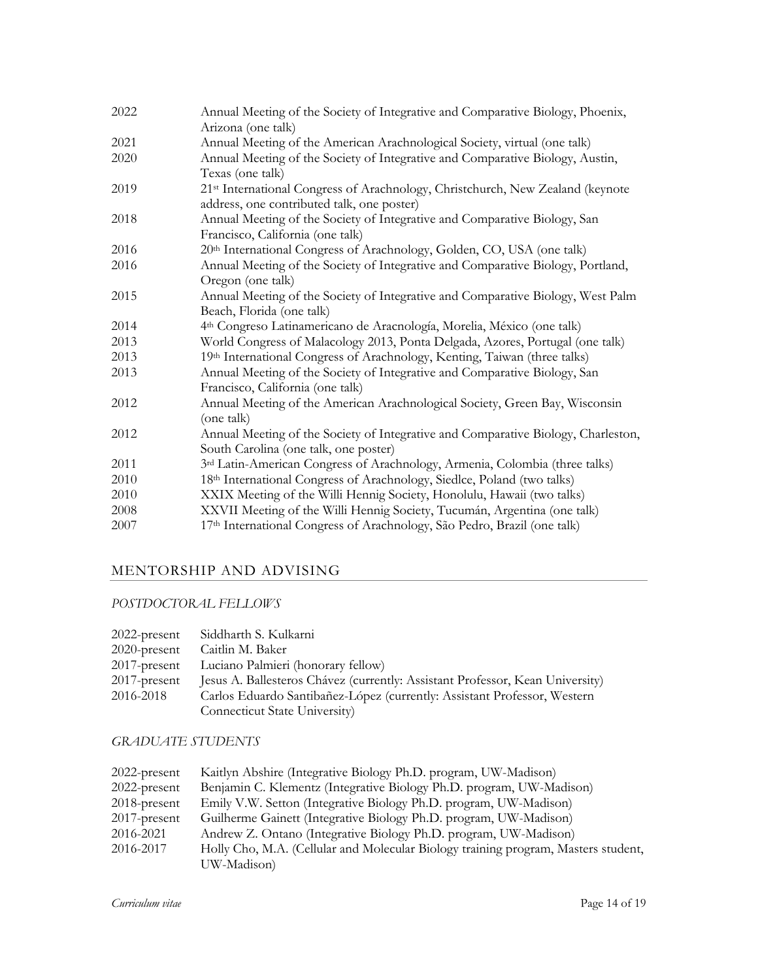| 2022 | Annual Meeting of the Society of Integrative and Comparative Biology, Phoenix,                    |
|------|---------------------------------------------------------------------------------------------------|
| 2021 | Arizona (one talk)<br>Annual Meeting of the American Arachnological Society, virtual (one talk)   |
| 2020 |                                                                                                   |
|      | Annual Meeting of the Society of Integrative and Comparative Biology, Austin,<br>Texas (one talk) |
| 2019 | 21 <sup>st</sup> International Congress of Arachnology, Christchurch, New Zealand (keynote        |
|      | address, one contributed talk, one poster)                                                        |
| 2018 | Annual Meeting of the Society of Integrative and Comparative Biology, San                         |
|      | Francisco, California (one talk)                                                                  |
| 2016 | 20th International Congress of Arachnology, Golden, CO, USA (one talk)                            |
| 2016 | Annual Meeting of the Society of Integrative and Comparative Biology, Portland,                   |
|      | Oregon (one talk)                                                                                 |
| 2015 | Annual Meeting of the Society of Integrative and Comparative Biology, West Palm                   |
|      | Beach, Florida (one talk)                                                                         |
| 2014 | 4 <sup>th</sup> Congreso Latinamericano de Aracnología, Morelia, México (one talk)                |
| 2013 | World Congress of Malacology 2013, Ponta Delgada, Azores, Portugal (one talk)                     |
| 2013 | 19th International Congress of Arachnology, Kenting, Taiwan (three talks)                         |
| 2013 | Annual Meeting of the Society of Integrative and Comparative Biology, San                         |
|      | Francisco, California (one talk)                                                                  |
| 2012 | Annual Meeting of the American Arachnological Society, Green Bay, Wisconsin                       |
|      | (one talk)                                                                                        |
| 2012 | Annual Meeting of the Society of Integrative and Comparative Biology, Charleston,                 |
|      | South Carolina (one talk, one poster)                                                             |
| 2011 | 3rd Latin-American Congress of Arachnology, Armenia, Colombia (three talks)                       |
| 2010 | 18th International Congress of Arachnology, Siedlce, Poland (two talks)                           |
| 2010 | XXIX Meeting of the Willi Hennig Society, Honolulu, Hawaii (two talks)                            |
| 2008 | XXVII Meeting of the Willi Hennig Society, Tucumán, Argentina (one talk)                          |
| 2007 | 17th International Congress of Arachnology, São Pedro, Brazil (one talk)                          |
|      |                                                                                                   |

# MENTORSHIP AND ADVISING

# *POSTDOCTORAL FELLOWS*

| 2022-present    | Siddharth S. Kulkarni                                                         |
|-----------------|-------------------------------------------------------------------------------|
| $2020$ -present | Caitlin M. Baker                                                              |
| $2017$ -present | Luciano Palmieri (honorary fellow)                                            |
| $2017$ -present | Jesus A. Ballesteros Chávez (currently: Assistant Professor, Kean University) |
| 2016-2018       | Carlos Eduardo Santibañez-López (currently: Assistant Professor, Western      |
|                 | Connecticut State University)                                                 |

# *GRADUATE STUDENTS*

| Kaitlyn Abshire (Integrative Biology Ph.D. program, UW-Madison)                                   |
|---------------------------------------------------------------------------------------------------|
| Benjamin C. Klementz (Integrative Biology Ph.D. program, UW-Madison)                              |
| Emily V.W. Setton (Integrative Biology Ph.D. program, UW-Madison)                                 |
| Guilherme Gainett (Integrative Biology Ph.D. program, UW-Madison)                                 |
| Andrew Z. Ontano (Integrative Biology Ph.D. program, UW-Madison)                                  |
| Holly Cho, M.A. (Cellular and Molecular Biology training program, Masters student,<br>UW-Madison) |
|                                                                                                   |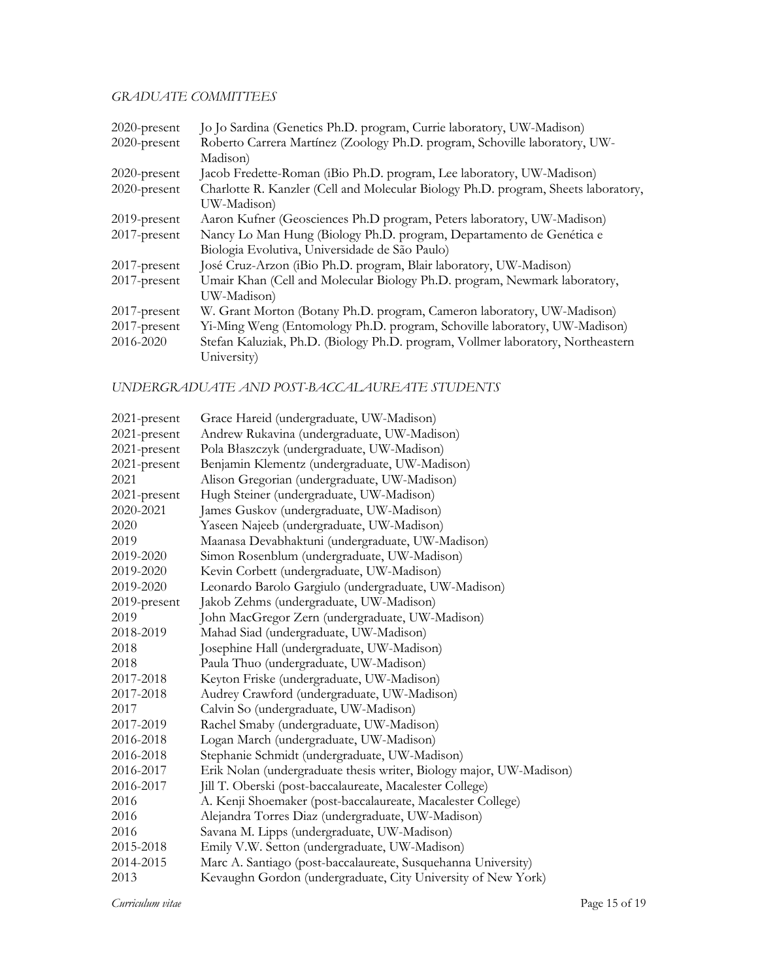# *GRADUATE COMMITTEES*

| 2020-present    | Jo Jo Sardina (Genetics Ph.D. program, Currie laboratory, UW-Madison)              |  |  |
|-----------------|------------------------------------------------------------------------------------|--|--|
| 2020-present    | Roberto Carrera Martínez (Zoology Ph.D. program, Schoville laboratory, UW-         |  |  |
|                 | Madison)                                                                           |  |  |
| 2020-present    | Jacob Fredette-Roman (iBio Ph.D. program, Lee laboratory, UW-Madison)              |  |  |
| 2020-present    | Charlotte R. Kanzler (Cell and Molecular Biology Ph.D. program, Sheets laboratory, |  |  |
|                 | UW-Madison)                                                                        |  |  |
| 2019-present    | Aaron Kufner (Geosciences Ph.D program, Peters laboratory, UW-Madison)             |  |  |
| 2017-present    | Nancy Lo Man Hung (Biology Ph.D. program, Departamento de Genética e               |  |  |
|                 | Biologia Evolutiva, Universidade de São Paulo)                                     |  |  |
| 2017-present    | José Cruz-Arzon (iBio Ph.D. program, Blair laboratory, UW-Madison)                 |  |  |
| 2017-present    | Umair Khan (Cell and Molecular Biology Ph.D. program, Newmark laboratory,          |  |  |
|                 | UW-Madison)                                                                        |  |  |
| 2017-present    | W. Grant Morton (Botany Ph.D. program, Cameron laboratory, UW-Madison)             |  |  |
| $2017$ -present | Yi-Ming Weng (Entomology Ph.D. program, Schoville laboratory, UW-Madison)          |  |  |
| 2016-2020       | Stefan Kaluziak, Ph.D. (Biology Ph.D. program, Vollmer laboratory, Northeastern    |  |  |
|                 | University)                                                                        |  |  |

## *UNDERGRADUATE AND POST-BACCALAUREATE STUDENTS*

| $2021$ -present | Grace Hareid (undergraduate, UW-Madison)                            |
|-----------------|---------------------------------------------------------------------|
| 2021-present    | Andrew Rukavina (undergraduate, UW-Madison)                         |
| 2021-present    | Pola Błaszczyk (undergraduate, UW-Madison)                          |
| 2021-present    | Benjamin Klementz (undergraduate, UW-Madison)                       |
| 2021            | Alison Gregorian (undergraduate, UW-Madison)                        |
| 2021-present    | Hugh Steiner (undergraduate, UW-Madison)                            |
| 2020-2021       | James Guskov (undergraduate, UW-Madison)                            |
| 2020            | Yaseen Najeeb (undergraduate, UW-Madison)                           |
| 2019            | Maanasa Devabhaktuni (undergraduate, UW-Madison)                    |
| 2019-2020       | Simon Rosenblum (undergraduate, UW-Madison)                         |
| 2019-2020       | Kevin Corbett (undergraduate, UW-Madison)                           |
| 2019-2020       | Leonardo Barolo Gargiulo (undergraduate, UW-Madison)                |
| 2019-present    | Jakob Zehms (undergraduate, UW-Madison)                             |
| 2019            | John MacGregor Zern (undergraduate, UW-Madison)                     |
| 2018-2019       | Mahad Siad (undergraduate, UW-Madison)                              |
| 2018            | Josephine Hall (undergraduate, UW-Madison)                          |
| 2018            | Paula Thuo (undergraduate, UW-Madison)                              |
| 2017-2018       | Keyton Friske (undergraduate, UW-Madison)                           |
| 2017-2018       | Audrey Crawford (undergraduate, UW-Madison)                         |
| 2017            | Calvin So (undergraduate, UW-Madison)                               |
| 2017-2019       | Rachel Smaby (undergraduate, UW-Madison)                            |
| 2016-2018       | Logan March (undergraduate, UW-Madison)                             |
| 2016-2018       | Stephanie Schmidt (undergraduate, UW-Madison)                       |
| 2016-2017       | Erik Nolan (undergraduate thesis writer, Biology major, UW-Madison) |
| 2016-2017       | Jill T. Oberski (post-baccalaureate, Macalester College)            |
| 2016            | A. Kenji Shoemaker (post-baccalaureate, Macalester College)         |
| 2016            | Alejandra Torres Diaz (undergraduate, UW-Madison)                   |
| 2016            | Savana M. Lipps (undergraduate, UW-Madison)                         |
| 2015-2018       | Emily V.W. Setton (undergraduate, UW-Madison)                       |
| 2014-2015       | Marc A. Santiago (post-baccalaureate, Susquehanna University)       |
| 2013            | Kevaughn Gordon (undergraduate, City University of New York)        |
|                 |                                                                     |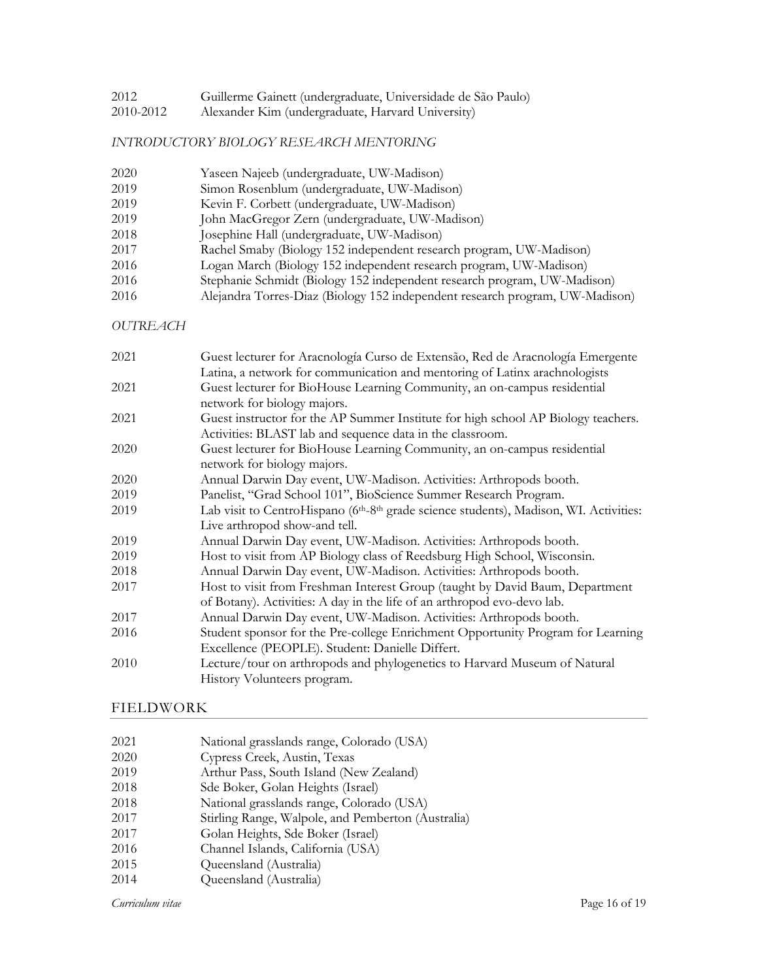- Guillerme Gainett (undergraduate, Universidade de São Paulo)
- 2010-2012 Alexander Kim (undergraduate, Harvard University)

### *INTRODUCTORY BIOLOGY RESEARCH MENTORING*

| 2020 | Yaseen Najeeb (undergraduate, UW-Madison)                                    |
|------|------------------------------------------------------------------------------|
| 2019 | Simon Rosenblum (undergraduate, UW-Madison)                                  |
| 2019 | Kevin F. Corbett (undergraduate, UW-Madison)                                 |
| 2019 | John MacGregor Zern (undergraduate, UW-Madison)                              |
| 2018 | Josephine Hall (undergraduate, UW-Madison)                                   |
| 2017 | Rachel Smaby (Biology 152 independent research program, UW-Madison)          |
| 2016 | Logan March (Biology 152 independent research program, UW-Madison)           |
| 2016 | Stephanie Schmidt (Biology 152 independent research program, UW-Madison)     |
| 2016 | Alejandra Torres-Diaz (Biology 152 independent research program, UW-Madison) |

*OUTREACH*

| 2021 | Guest lecturer for Aracnología Curso de Extensão, Red de Aracnología Emergente                                 |
|------|----------------------------------------------------------------------------------------------------------------|
|      | Latina, a network for communication and mentoring of Latinx arachnologists                                     |
| 2021 | Guest lecturer for BioHouse Learning Community, an on-campus residential                                       |
|      | network for biology majors.                                                                                    |
| 2021 | Guest instructor for the AP Summer Institute for high school AP Biology teachers.                              |
|      | Activities: BLAST lab and sequence data in the classroom.                                                      |
| 2020 | Guest lecturer for BioHouse Learning Community, an on-campus residential                                       |
|      | network for biology majors.                                                                                    |
| 2020 | Annual Darwin Day event, UW-Madison. Activities: Arthropods booth.                                             |
| 2019 | Panelist, "Grad School 101", BioScience Summer Research Program.                                               |
| 2019 | Lab visit to CentroHispano (6 <sup>th</sup> -8 <sup>th</sup> grade science students), Madison, WI. Activities: |
|      | Live arthropod show-and tell.                                                                                  |
| 2019 | Annual Darwin Day event, UW-Madison. Activities: Arthropods booth.                                             |
| 2019 | Host to visit from AP Biology class of Reedsburg High School, Wisconsin.                                       |
| 2018 | Annual Darwin Day event, UW-Madison. Activities: Arthropods booth.                                             |
| 2017 | Host to visit from Freshman Interest Group (taught by David Baum, Department                                   |
|      | of Botany). Activities: A day in the life of an arthropod evo-devo lab.                                        |
| 2017 | Annual Darwin Day event, UW-Madison. Activities: Arthropods booth.                                             |
| 2016 | Student sponsor for the Pre-college Enrichment Opportunity Program for Learning                                |
|      | Excellence (PEOPLE). Student: Danielle Differt.                                                                |
| 2010 | Lecture/tour on arthropods and phylogenetics to Harvard Museum of Natural                                      |
|      | History Volunteers program.                                                                                    |

## FIELDWORK

| 2021 |  | National grasslands range, Colorado (USA) |  |  |  |
|------|--|-------------------------------------------|--|--|--|
|------|--|-------------------------------------------|--|--|--|

- Cypress Creek, Austin, Texas
- Arthur Pass, South Island (New Zealand)
- Sde Boker, Golan Heights (Israel)
- National grasslands range, Colorado (USA)
- Stirling Range, Walpole, and Pemberton (Australia)
- Golan Heights, Sde Boker (Israel)
- Channel Islands, California (USA)
- Queensland (Australia)
- Queensland (Australia)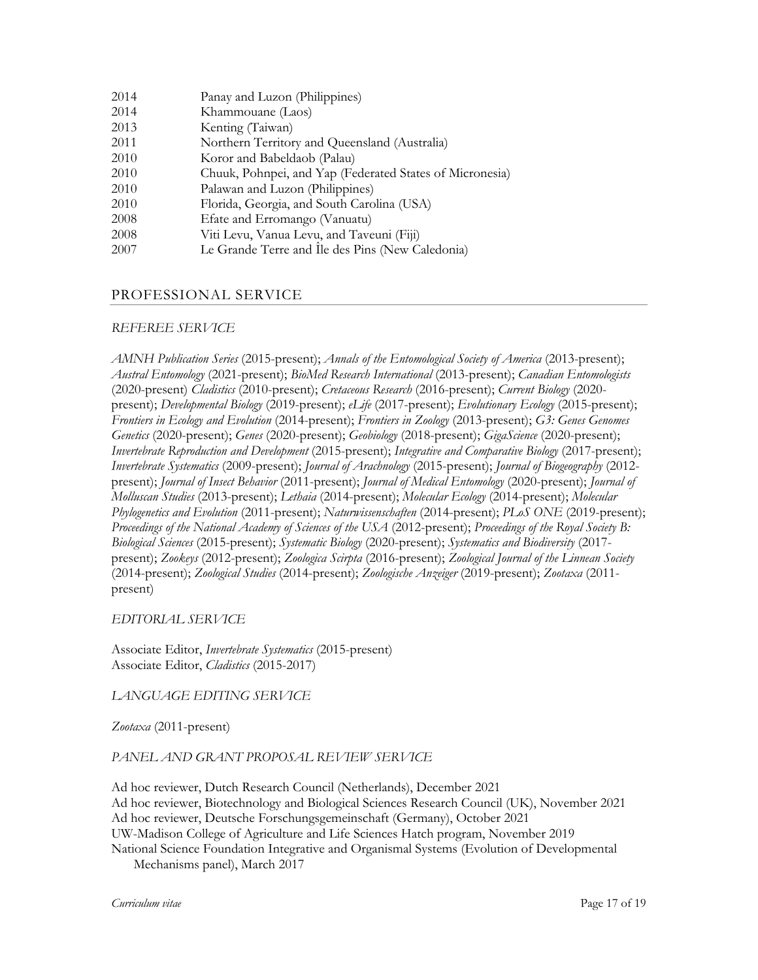| Panay and Luzon (Philippines)                            |
|----------------------------------------------------------|
| Khammouane (Laos)                                        |
| Kenting (Taiwan)                                         |
| Northern Territory and Queensland (Australia)            |
| Koror and Babeldaob (Palau)                              |
| Chuuk, Pohnpei, and Yap (Federated States of Micronesia) |
| Palawan and Luzon (Philippines)                          |
| Florida, Georgia, and South Carolina (USA)               |
| Efate and Erromango (Vanuatu)                            |
| Viti Levu, Vanua Levu, and Taveuni (Fiji)                |
| Le Grande Terre and Ile des Pins (New Caledonia)         |
|                                                          |

# PROFESSIONAL SERVICE

## *REFEREE SERVICE*

*AMNH Publication Series* (2015-present); *Annals of the Entomological Society of America* (2013-present); *Austral Entomology* (2021-present); *BioMed Research International* (2013-present); *Canadian Entomologists*  (2020-present) *Cladistics* (2010-present); *Cretaceous Research* (2016-present); *Current Biology* (2020 present); *Developmental Biology* (2019-present); *eLife* (2017-present); *Evolutionary Ecology* (2015-present); *Frontiers in Ecology and Evolution* (2014-present); *Frontiers in Zoology* (2013-present); *G3: Genes Genomes Genetics* (2020-present); *Genes* (2020-present); *Geobiology* (2018-present); *GigaScience* (2020-present); *Invertebrate Reproduction and Development* (2015-present); *Integrative and Comparative Biology* (2017-present); *Invertebrate Systematics* (2009-present); *Journal of Arachnology* (2015-present); *Journal of Biogeography* (2012 present); *Journal of Insect Behavior* (2011-present); *Journal of Medical Entomology* (2020-present); *Journal of Molluscan Studies* (2013-present); *Lethaia* (2014-present); *Molecular Ecology* (2014-present); *Molecular Phylogenetics and Evolution* (2011-present); *Naturwissenschaften* (2014-present); *PLoS ONE* (2019-present); *Proceedings of the National Academy of Sciences of the USA* (2012-present); *Proceedings of the Royal Society B: Biological Sciences* (2015-present); *Systematic Biology* (2020-present); *Systematics and Biodiversity* (2017 present); *Zookeys* (2012-present); *Zoologica Scirpta* (2016-present); *Zoological Journal of the Linnean Society* (2014-present); *Zoological Studies* (2014-present); *Zoologische Anzeiger* (2019-present); *Zootaxa* (2011 present)

*EDITORIAL SERVICE*

Associate Editor, *Invertebrate Systematics* (2015-present) Associate Editor, *Cladistics* (2015-2017)

*LANGUAGE EDITING SERVICE*

*Zootaxa* (2011-present)

*PANEL AND GRANT PROPOSAL REVIEW SERVICE*

Ad hoc reviewer, Dutch Research Council (Netherlands), December 2021 Ad hoc reviewer, Biotechnology and Biological Sciences Research Council (UK), November 2021 Ad hoc reviewer, Deutsche Forschungsgemeinschaft (Germany), October 2021 UW-Madison College of Agriculture and Life Sciences Hatch program, November 2019 National Science Foundation Integrative and Organismal Systems (Evolution of Developmental

Mechanisms panel), March 2017

*Curriculum vitae* Page 17 of 19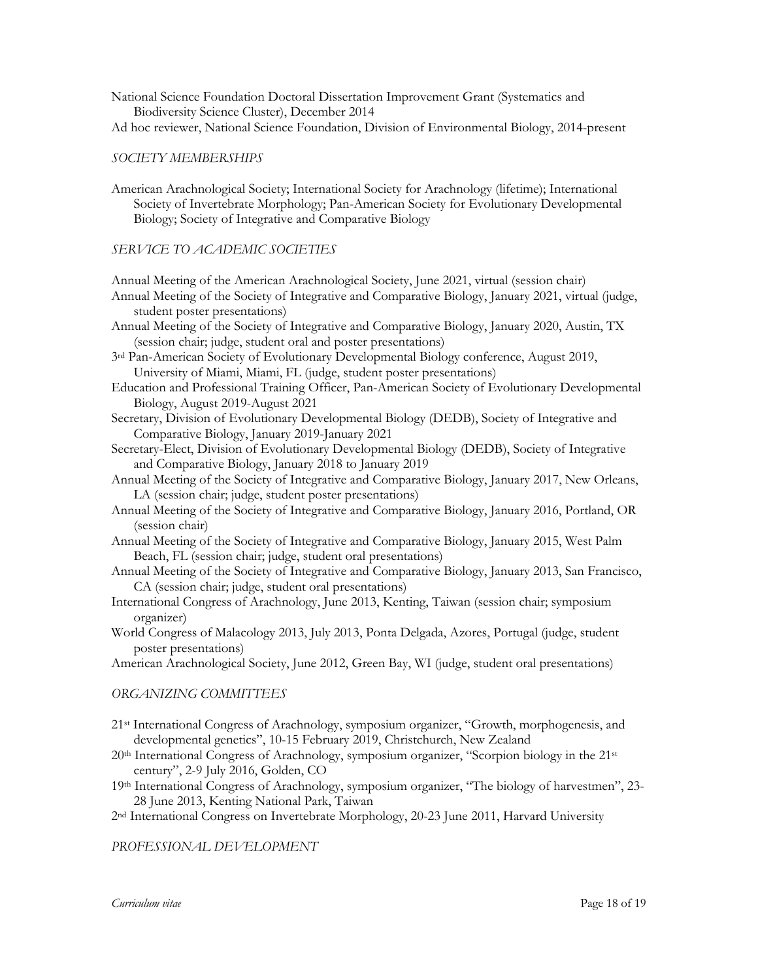National Science Foundation Doctoral Dissertation Improvement Grant (Systematics and Biodiversity Science Cluster), December 2014

Ad hoc reviewer, National Science Foundation, Division of Environmental Biology, 2014-present

#### *SOCIETY MEMBERSHIPS*

American Arachnological Society; International Society for Arachnology (lifetime); International Society of Invertebrate Morphology; Pan-American Society for Evolutionary Developmental Biology; Society of Integrative and Comparative Biology

#### *SERVICE TO ACADEMIC SOCIETIES*

Annual Meeting of the American Arachnological Society, June 2021, virtual (session chair)

- Annual Meeting of the Society of Integrative and Comparative Biology, January 2021, virtual (judge, student poster presentations)
- Annual Meeting of the Society of Integrative and Comparative Biology, January 2020, Austin, TX (session chair; judge, student oral and poster presentations)
- 3rd Pan-American Society of Evolutionary Developmental Biology conference, August 2019, University of Miami, Miami, FL (judge, student poster presentations)
- Education and Professional Training Officer, Pan-American Society of Evolutionary Developmental Biology, August 2019-August 2021
- Secretary, Division of Evolutionary Developmental Biology (DEDB), Society of Integrative and Comparative Biology, January 2019-January 2021
- Secretary-Elect, Division of Evolutionary Developmental Biology (DEDB), Society of Integrative and Comparative Biology, January 2018 to January 2019

Annual Meeting of the Society of Integrative and Comparative Biology, January 2017, New Orleans, LA (session chair; judge, student poster presentations)

- Annual Meeting of the Society of Integrative and Comparative Biology, January 2016, Portland, OR (session chair)
- Annual Meeting of the Society of Integrative and Comparative Biology, January 2015, West Palm Beach, FL (session chair; judge, student oral presentations)
- Annual Meeting of the Society of Integrative and Comparative Biology, January 2013, San Francisco, CA (session chair; judge, student oral presentations)
- International Congress of Arachnology, June 2013, Kenting, Taiwan (session chair; symposium organizer)
- World Congress of Malacology 2013, July 2013, Ponta Delgada, Azores, Portugal (judge, student poster presentations)

American Arachnological Society, June 2012, Green Bay, WI (judge, student oral presentations)

#### *ORGANIZING COMMITTEES*

- 21st International Congress of Arachnology, symposium organizer, "Growth, morphogenesis, and developmental genetics", 10-15 February 2019, Christchurch, New Zealand
- 20th International Congress of Arachnology, symposium organizer, "Scorpion biology in the 21st century", 2-9 July 2016, Golden, CO
- 19th International Congress of Arachnology, symposium organizer, "The biology of harvestmen", 23- 28 June 2013, Kenting National Park, Taiwan

2nd International Congress on Invertebrate Morphology, 20-23 June 2011, Harvard University

*PROFESSIONAL DEVELOPMENT*